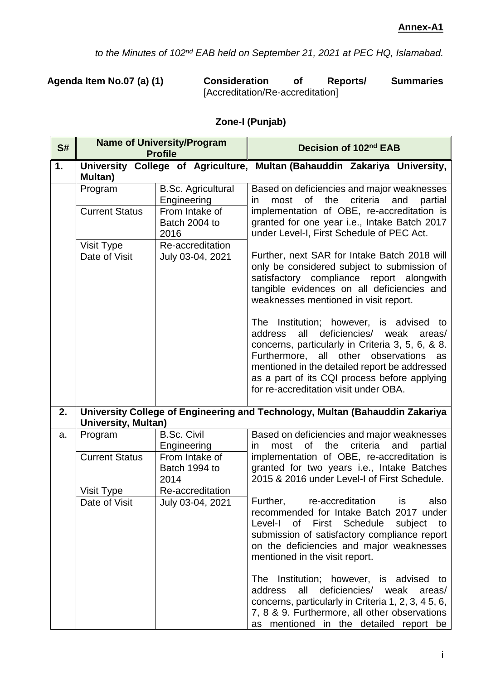*to the Minutes of 102nd EAB held on September 21, 2021 at PEC HQ, Islamabad.*

**Agenda Item No.07 (a) (1) Consideration of Reports/ Summaries** [Accreditation/Re-accreditation]

| S# |                            | <b>Name of University/Program</b><br><b>Profile</b> | Decision of 102nd EAB                                                                                                                                                                                                                                                                                                                            |
|----|----------------------------|-----------------------------------------------------|--------------------------------------------------------------------------------------------------------------------------------------------------------------------------------------------------------------------------------------------------------------------------------------------------------------------------------------------------|
| 1. | <b>Multan</b> )            |                                                     | University College of Agriculture, Multan (Bahauddin Zakariya University,                                                                                                                                                                                                                                                                        |
|    | Program                    | <b>B.Sc. Agricultural</b><br>Engineering            | Based on deficiencies and major weaknesses<br>the<br>criteria<br>most<br>0f<br>and<br>partial<br>in.                                                                                                                                                                                                                                             |
|    | <b>Current Status</b>      | From Intake of<br>Batch 2004 to<br>2016             | implementation of OBE, re-accreditation is<br>granted for one year i.e., Intake Batch 2017<br>under Level-I, First Schedule of PEC Act.                                                                                                                                                                                                          |
|    | Visit Type                 | Re-accreditation                                    |                                                                                                                                                                                                                                                                                                                                                  |
|    | Date of Visit              | July 03-04, 2021                                    | Further, next SAR for Intake Batch 2018 will<br>only be considered subject to submission of<br>satisfactory compliance report alongwith<br>tangible evidences on all deficiencies and<br>weaknesses mentioned in visit report.                                                                                                                   |
|    |                            |                                                     | The Institution; however, is advised<br>to<br>all<br>deficiencies/<br>address<br>weak<br>areas/<br>concerns, particularly in Criteria 3, 5, 6, & 8.<br>all other<br>Furthermore,<br>observations<br>as<br>mentioned in the detailed report be addressed<br>as a part of its CQI process before applying<br>for re-accreditation visit under OBA. |
| 2. | <b>University, Multan)</b> |                                                     | University College of Engineering and Technology, Multan (Bahauddin Zakariya                                                                                                                                                                                                                                                                     |
| a. | Program                    | <b>B.Sc. Civil</b><br>Engineering                   | Based on deficiencies and major weaknesses<br>most<br><b>of</b><br>the<br>criteria<br>and<br>partial<br>in.                                                                                                                                                                                                                                      |
|    | <b>Current Status</b>      | From Intake of<br>Batch 1994 to<br>2014             | implementation of OBE, re-accreditation is<br>granted for two years i.e., Intake Batches<br>2015 & 2016 under Level-I of First Schedule.                                                                                                                                                                                                         |
|    | Visit Type                 | Re-accreditation                                    |                                                                                                                                                                                                                                                                                                                                                  |
|    | Date of Visit              | July 03-04, 2021                                    | also<br>Further,<br>re-accreditation<br>is<br>recommended for Intake Batch 2017 under<br>Level-I<br>of First Schedule<br>subject<br>to<br>submission of satisfactory compliance report<br>on the deficiencies and major weaknesses<br>mentioned in the visit report.                                                                             |
|    |                            |                                                     | The Institution; however, is advised to<br>all<br>deficiencies/ weak<br>address<br>areas/<br>concerns, particularly in Criteria 1, 2, 3, 4 5, 6,<br>7, 8 & 9. Furthermore, all other observations<br>as mentioned in the detailed report be                                                                                                      |

## **Zone-I (Punjab)**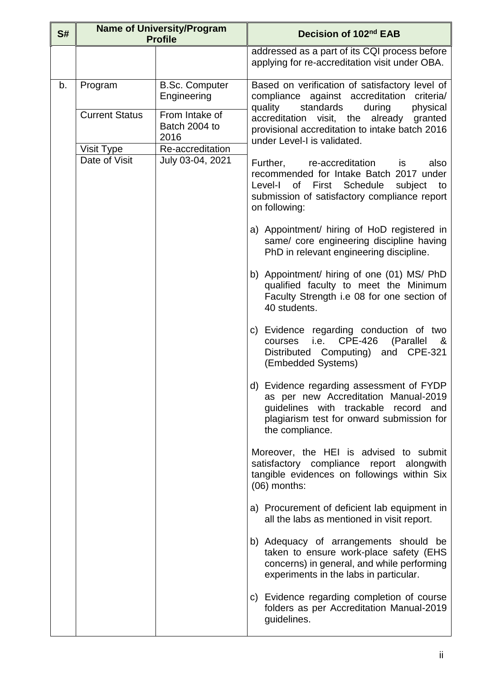| S# |                       | <b>Name of University/Program</b><br><b>Profile</b> | Decision of 102 <sup>nd</sup> EAB                                                                                                                                                           |
|----|-----------------------|-----------------------------------------------------|---------------------------------------------------------------------------------------------------------------------------------------------------------------------------------------------|
|    |                       |                                                     | addressed as a part of its CQI process before<br>applying for re-accreditation visit under OBA.                                                                                             |
| b. | Program               | <b>B.Sc. Computer</b><br>Engineering                | Based on verification of satisfactory level of<br>compliance against accreditation<br>criteria/<br>standards<br>quality<br>during<br>physical                                               |
|    | <b>Current Status</b> | From Intake of<br>Batch 2004 to<br>2016             | accreditation visit, the already granted<br>provisional accreditation to intake batch 2016<br>under Level-I is validated.                                                                   |
|    | Visit Type            | Re-accreditation                                    |                                                                                                                                                                                             |
|    | Date of Visit         | July 03-04, 2021                                    | Further, re-accreditation<br>also<br>is<br>recommended for Intake Batch 2017 under<br>Level-I of First Schedule subject to<br>submission of satisfactory compliance report<br>on following: |
|    |                       |                                                     | a) Appointment/ hiring of HoD registered in<br>same/ core engineering discipline having<br>PhD in relevant engineering discipline.                                                          |
|    |                       |                                                     | b) Appointment/ hiring of one (01) MS/ PhD<br>qualified faculty to meet the Minimum<br>Faculty Strength i.e 08 for one section of<br>40 students.                                           |
|    |                       |                                                     | c) Evidence regarding conduction of two<br><b>CPE-426</b><br>i.e.<br>(Parallel<br>&<br>courses<br>Distributed Computing) and CPE-321<br>(Embedded Systems)                                  |
|    |                       |                                                     | d) Evidence regarding assessment of FYDP<br>as per new Accreditation Manual-2019<br>guidelines with trackable record and<br>plagiarism test for onward submission for<br>the compliance.    |
|    |                       |                                                     | Moreover, the HEI is advised to submit<br>satisfactory compliance report alongwith<br>tangible evidences on followings within Six<br>(06) months:                                           |
|    |                       |                                                     | a) Procurement of deficient lab equipment in<br>all the labs as mentioned in visit report.                                                                                                  |
|    |                       |                                                     | b) Adequacy of arrangements should be<br>taken to ensure work-place safety (EHS<br>concerns) in general, and while performing<br>experiments in the labs in particular.                     |
|    |                       |                                                     | c) Evidence regarding completion of course<br>folders as per Accreditation Manual-2019<br>guidelines.                                                                                       |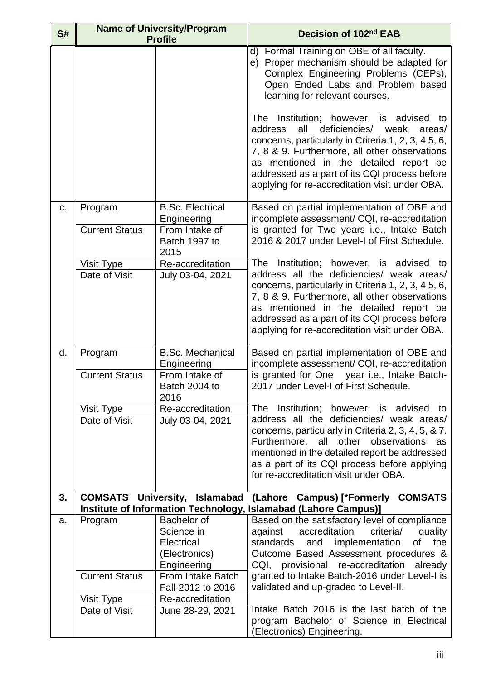| S# | <b>Name of University/Program</b><br><b>Profile</b> |                                                                         | Decision of 102 <sup>nd</sup> EAB                                                                                                                                                                                                                                                                                                                 |
|----|-----------------------------------------------------|-------------------------------------------------------------------------|---------------------------------------------------------------------------------------------------------------------------------------------------------------------------------------------------------------------------------------------------------------------------------------------------------------------------------------------------|
|    |                                                     |                                                                         | d) Formal Training on OBE of all faculty.<br>e) Proper mechanism should be adapted for<br>Complex Engineering Problems (CEPs),<br>Open Ended Labs and Problem based<br>learning for relevant courses.                                                                                                                                             |
|    |                                                     |                                                                         | The Institution; however, is advised to<br>all<br>deficiencies/<br>address<br>weak<br>areas/<br>concerns, particularly in Criteria 1, 2, 3, 4 5, 6,<br>7, 8 & 9. Furthermore, all other observations<br>as mentioned in the detailed report be<br>addressed as a part of its CQI process before<br>applying for re-accreditation visit under OBA. |
| C. | Program<br><b>Current Status</b>                    | <b>B.Sc. Electrical</b><br>Engineering<br>From Intake of                | Based on partial implementation of OBE and<br>incomplete assessment/ CQI, re-accreditation<br>is granted for Two years <i>i.e.</i> , Intake Batch                                                                                                                                                                                                 |
|    |                                                     | Batch 1997 to<br>2015                                                   | 2016 & 2017 under Level-I of First Schedule.                                                                                                                                                                                                                                                                                                      |
|    | Visit Type                                          | Re-accreditation                                                        | The Institution; however, is advised to                                                                                                                                                                                                                                                                                                           |
|    | Date of Visit                                       | July 03-04, 2021                                                        | address all the deficiencies/ weak areas/<br>concerns, particularly in Criteria 1, 2, 3, 4 5, 6,<br>7, 8 & 9. Furthermore, all other observations<br>as mentioned in the detailed report be<br>addressed as a part of its CQI process before<br>applying for re-accreditation visit under OBA.                                                    |
| d. | Program                                             | <b>B.Sc. Mechanical</b><br>Engineering                                  | Based on partial implementation of OBE and<br>incomplete assessment/ CQI, re-accreditation                                                                                                                                                                                                                                                        |
|    | <b>Current Status</b>                               | From Intake of<br>Batch 2004 to<br>2016                                 | is granted for One year i.e., Intake Batch-<br>2017 under Level-I of First Schedule.                                                                                                                                                                                                                                                              |
|    | Visit Type                                          | Re-accreditation                                                        | The Institution; however, is advised to                                                                                                                                                                                                                                                                                                           |
|    | Date of Visit                                       | July 03-04, 2021                                                        | address all the deficiencies/ weak areas/<br>concerns, particularly in Criteria 2, 3, 4, 5, & 7.<br>Furthermore, all other observations<br>as<br>mentioned in the detailed report be addressed<br>as a part of its CQI process before applying<br>for re-accreditation visit under OBA.                                                           |
| 3. |                                                     | <b>COMSATS University, Islamabad</b>                                    | (Lahore Campus) [*Formerly COMSATS<br>Institute of Information Technology, Islamabad (Lahore Campus)]                                                                                                                                                                                                                                             |
| a. | Program                                             | Bachelor of<br>Science in<br>Electrical<br>(Electronics)<br>Engineering | Based on the satisfactory level of compliance<br>accreditation<br>criteria/<br>against<br>quality<br>standards<br>and<br>implementation<br>the<br>οf<br>Outcome Based Assessment procedures &<br>CQI, provisional re-accreditation already                                                                                                        |
|    | <b>Current Status</b>                               | From Intake Batch<br>Fall-2012 to 2016                                  | granted to Intake Batch-2016 under Level-I is<br>validated and up-graded to Level-II.                                                                                                                                                                                                                                                             |
|    | Visit Type                                          | Re-accreditation                                                        |                                                                                                                                                                                                                                                                                                                                                   |
|    | Date of Visit                                       | June 28-29, 2021                                                        | Intake Batch 2016 is the last batch of the<br>program Bachelor of Science in Electrical<br>(Electronics) Engineering.                                                                                                                                                                                                                             |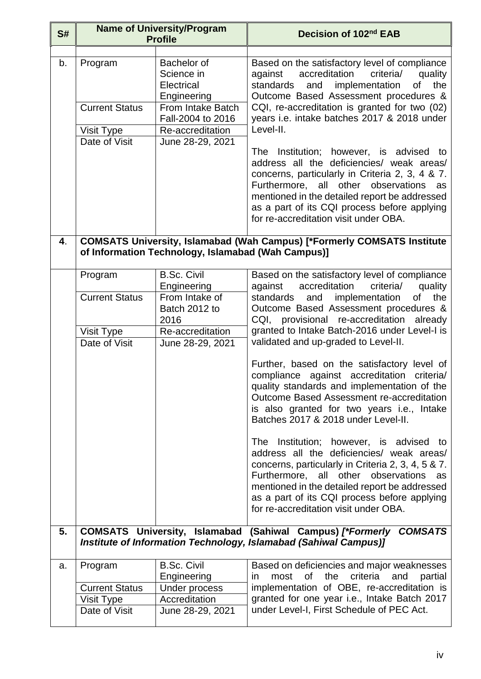| S# | <b>Name of University/Program</b><br><b>Profile</b>             |                                                                                                                                          | Decision of 102 <sup>nd</sup> EAB                                                                                                                                                                                                                                                                                                                                                                                                                                                                                                                                                                                                                                                                                                                                                                                                                                        |
|----|-----------------------------------------------------------------|------------------------------------------------------------------------------------------------------------------------------------------|--------------------------------------------------------------------------------------------------------------------------------------------------------------------------------------------------------------------------------------------------------------------------------------------------------------------------------------------------------------------------------------------------------------------------------------------------------------------------------------------------------------------------------------------------------------------------------------------------------------------------------------------------------------------------------------------------------------------------------------------------------------------------------------------------------------------------------------------------------------------------|
| b. | Program<br><b>Current Status</b><br>Visit Type<br>Date of Visit | Bachelor of<br>Science in<br>Electrical<br>Engineering<br>From Intake Batch<br>Fall-2004 to 2016<br>Re-accreditation<br>June 28-29, 2021 | Based on the satisfactory level of compliance<br>accreditation<br>criteria/<br>against<br>quality<br>the<br>implementation<br>standards<br>and<br>of<br>Outcome Based Assessment procedures &<br>CQI, re-accreditation is granted for two (02)<br>years i.e. intake batches 2017 & 2018 under<br>Level-II.<br>The Institution; however, is advised to<br>address all the deficiencies/ weak areas/<br>concerns, particularly in Criteria 2, 3, 4 & 7.<br>Furthermore, all other observations<br>as<br>mentioned in the detailed report be addressed<br>as a part of its CQI process before applying<br>for re-accreditation visit under OBA.                                                                                                                                                                                                                             |
| 4. |                                                                 | of Information Technology, Islamabad (Wah Campus)]                                                                                       | <b>COMSATS University, Islamabad (Wah Campus) [*Formerly COMSATS Institute</b>                                                                                                                                                                                                                                                                                                                                                                                                                                                                                                                                                                                                                                                                                                                                                                                           |
|    | Program<br><b>Current Status</b><br>Visit Type<br>Date of Visit | <b>B.Sc. Civil</b><br>Engineering<br>From Intake of<br>Batch 2012 to<br>2016<br>Re-accreditation<br>June 28-29, 2021                     | Based on the satisfactory level of compliance<br>accreditation<br>against<br>criteria/<br>quality<br>the<br>standards<br>and<br>implementation<br>of<br>Outcome Based Assessment procedures &<br>CQI, provisional re-accreditation already<br>granted to Intake Batch-2016 under Level-I is<br>validated and up-graded to Level-II.<br>Further, based on the satisfactory level of<br>compliance against accreditation<br>criteria/<br>quality standards and implementation of the<br>Outcome Based Assessment re-accreditation<br>is also granted for two years <i>i.e.</i> , Intake<br>Batches 2017 & 2018 under Level-II.<br>The Institution; however, is advised to<br>address all the deficiencies/ weak areas/<br>concerns, particularly in Criteria 2, 3, 4, 5 & 7.<br>Furthermore, all other observations<br>as<br>mentioned in the detailed report be addressed |
| 5. |                                                                 |                                                                                                                                          | as a part of its CQI process before applying<br>for re-accreditation visit under OBA.<br>COMSATS University, Islamabad (Sahiwal Campus) [*Formerly COMSATS<br>Institute of Information Technology, Islamabad (Sahiwal Campus)]                                                                                                                                                                                                                                                                                                                                                                                                                                                                                                                                                                                                                                           |
| a. | Program<br><b>Current Status</b><br>Visit Type<br>Date of Visit | <b>B.Sc. Civil</b><br>Engineering<br>Under process<br>Accreditation<br>June 28-29, 2021                                                  | Based on deficiencies and major weaknesses<br>most of<br>the criteria<br>and<br>partial<br>in.<br>implementation of OBE, re-accreditation is<br>granted for one year i.e., Intake Batch 2017<br>under Level-I, First Schedule of PEC Act.                                                                                                                                                                                                                                                                                                                                                                                                                                                                                                                                                                                                                                |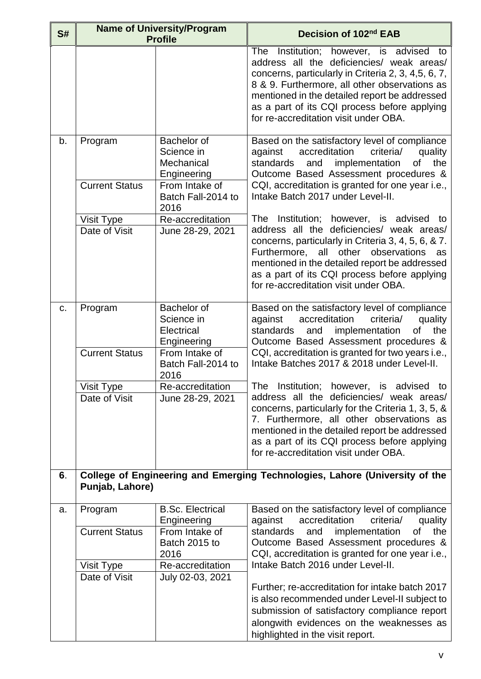| S# | <b>Name of University/Program</b><br><b>Profile</b> |                                                                                                | Decision of 102 <sup>nd</sup> EAB                                                                                                                                                                                                                                                                                                      |
|----|-----------------------------------------------------|------------------------------------------------------------------------------------------------|----------------------------------------------------------------------------------------------------------------------------------------------------------------------------------------------------------------------------------------------------------------------------------------------------------------------------------------|
|    |                                                     |                                                                                                | The Institution; however, is advised to<br>address all the deficiencies/ weak areas/<br>concerns, particularly in Criteria 2, 3, 4,5, 6, 7,<br>8 & 9. Furthermore, all other observations as<br>mentioned in the detailed report be addressed<br>as a part of its CQI process before applying<br>for re-accreditation visit under OBA. |
| b. | Program<br><b>Current Status</b>                    | Bachelor of<br>Science in<br>Mechanical<br>Engineering<br>From Intake of<br>Batch Fall-2014 to | Based on the satisfactory level of compliance<br>against accreditation<br>criteria/<br>quality<br>standards<br>implementation<br>of the<br>and<br>Outcome Based Assessment procedures &<br>CQI, accreditation is granted for one year i.e.,<br>Intake Batch 2017 under Level-II.                                                       |
|    | Visit Type                                          | 2016<br>Re-accreditation                                                                       | The Institution; however, is advised to                                                                                                                                                                                                                                                                                                |
|    | Date of Visit                                       | June 28-29, 2021                                                                               | address all the deficiencies/ weak areas/<br>concerns, particularly in Criteria 3, 4, 5, 6, & 7.<br>Furthermore, all other observations<br>as<br>mentioned in the detailed report be addressed<br>as a part of its CQI process before applying<br>for re-accreditation visit under OBA.                                                |
| C. | Program<br><b>Current Status</b>                    | Bachelor of<br>Science in<br>Electrical<br>Engineering<br>From Intake of                       | Based on the satisfactory level of compliance<br>accreditation<br>criteria/<br>against<br>quality<br>implementation<br>the<br>standards<br>and<br>οf<br>Outcome Based Assessment procedures &                                                                                                                                          |
|    |                                                     | Batch Fall-2014 to<br>2016                                                                     | CQI, accreditation is granted for two years i.e.,<br>Intake Batches 2017 & 2018 under Level-II.                                                                                                                                                                                                                                        |
|    | Visit Type                                          | Re-accreditation                                                                               | The Institution; however, is advised to                                                                                                                                                                                                                                                                                                |
|    | Date of Visit                                       | June 28-29, 2021                                                                               | address all the deficiencies/ weak areas/<br>concerns, particularly for the Criteria 1, 3, 5, &<br>7. Furthermore, all other observations as<br>mentioned in the detailed report be addressed<br>as a part of its CQI process before applying<br>for re-accreditation visit under OBA.                                                 |
| 6. | Punjab, Lahore)                                     |                                                                                                | College of Engineering and Emerging Technologies, Lahore (University of the                                                                                                                                                                                                                                                            |
| a. | Program                                             | <b>B.Sc. Electrical</b>                                                                        | Based on the satisfactory level of compliance                                                                                                                                                                                                                                                                                          |
|    | <b>Current Status</b>                               | Engineering<br>From Intake of<br>Batch 2015 to<br>2016                                         | accreditation<br>criteria/<br>against<br>quality<br>standards<br>implementation<br>the<br>and<br>οf<br>Outcome Based Assessment procedures &<br>CQI, accreditation is granted for one year i.e.,                                                                                                                                       |
|    | Visit Type                                          | Re-accreditation                                                                               | Intake Batch 2016 under Level-II.                                                                                                                                                                                                                                                                                                      |
|    | Date of Visit                                       | July 02-03, 2021                                                                               | Further; re-accreditation for intake batch 2017<br>is also recommended under Level-II subject to<br>submission of satisfactory compliance report<br>alongwith evidences on the weaknesses as<br>highlighted in the visit report.                                                                                                       |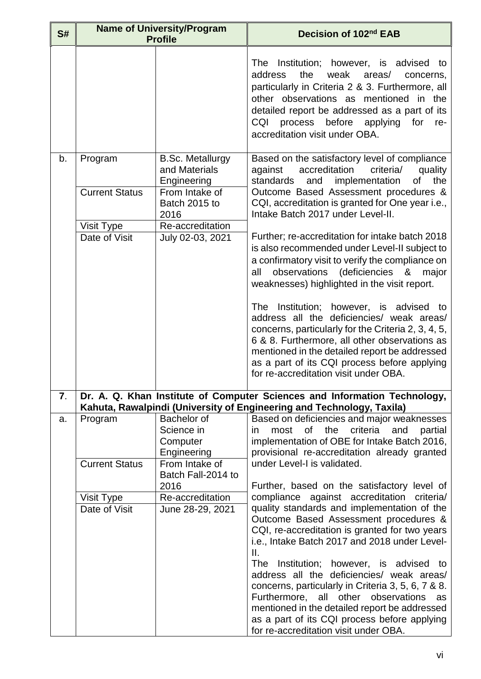| S# | <b>Name of University/Program</b><br><b>Profile</b> |                                                                                              | Decision of 102 <sup>nd</sup> EAB                                                                                                                                                                                                                                                                                                                                                                                                                                                                                                                                                                                                      |
|----|-----------------------------------------------------|----------------------------------------------------------------------------------------------|----------------------------------------------------------------------------------------------------------------------------------------------------------------------------------------------------------------------------------------------------------------------------------------------------------------------------------------------------------------------------------------------------------------------------------------------------------------------------------------------------------------------------------------------------------------------------------------------------------------------------------------|
|    |                                                     |                                                                                              | The Institution; however, is advised to<br>the<br>address<br>weak<br>areas/<br>concerns,<br>particularly in Criteria 2 & 3. Furthermore, all<br>other observations as mentioned in the<br>detailed report be addressed as a part of its<br>process before applying for<br>CQI<br>re-<br>accreditation visit under OBA.                                                                                                                                                                                                                                                                                                                 |
| b. | Program<br><b>Current Status</b>                    | <b>B.Sc. Metallurgy</b><br>and Materials<br>Engineering<br>From Intake of<br>Batch 2015 to   | Based on the satisfactory level of compliance<br>accreditation<br>criteria/<br>against<br>quality<br>the<br>standards<br>implementation<br>of<br>and<br>Outcome Based Assessment procedures &<br>CQI, accreditation is granted for One year i.e.,                                                                                                                                                                                                                                                                                                                                                                                      |
|    | Visit Type<br>Date of Visit                         | 2016<br>Re-accreditation<br>July 02-03, 2021                                                 | Intake Batch 2017 under Level-II.<br>Further; re-accreditation for intake batch 2018<br>is also recommended under Level-II subject to<br>a confirmatory visit to verify the compliance on<br>(deficiencies &<br>observations<br>all<br>major<br>weaknesses) highlighted in the visit report.<br>The Institution; however, is advised to<br>address all the deficiencies/ weak areas/<br>concerns, particularly for the Criteria 2, 3, 4, 5,<br>6 & 8. Furthermore, all other observations as<br>mentioned in the detailed report be addressed<br>as a part of its CQI process before applying<br>for re-accreditation visit under OBA. |
| 7. |                                                     |                                                                                              | Dr. A. Q. Khan Institute of Computer Sciences and Information Technology,<br>Kahuta, Rawalpindi (University of Engineering and Technology, Taxila)                                                                                                                                                                                                                                                                                                                                                                                                                                                                                     |
| a. | Program<br><b>Current Status</b>                    | Bachelor of<br>Science in<br>Computer<br>Engineering<br>From Intake of<br>Batch Fall-2014 to | Based on deficiencies and major weaknesses<br>most of the<br>criteria and<br>partial<br>in.<br>implementation of OBE for Intake Batch 2016,<br>provisional re-accreditation already granted<br>under Level-I is validated.                                                                                                                                                                                                                                                                                                                                                                                                             |
|    |                                                     | 2016                                                                                         | Further, based on the satisfactory level of                                                                                                                                                                                                                                                                                                                                                                                                                                                                                                                                                                                            |
|    | Visit Type<br>Date of Visit                         | Re-accreditation<br>June 28-29, 2021                                                         | compliance against accreditation<br>criteria/<br>quality standards and implementation of the<br>Outcome Based Assessment procedures &<br>CQI, re-accreditation is granted for two years<br>i.e., Intake Batch 2017 and 2018 under Level-<br>Ш.<br><b>The</b><br>Institution; however, is advised to<br>address all the deficiencies/ weak areas/<br>concerns, particularly in Criteria 3, 5, 6, 7 & 8.<br>Furthermore, all other observations<br>as<br>mentioned in the detailed report be addressed<br>as a part of its CQI process before applying<br>for re-accreditation visit under OBA.                                          |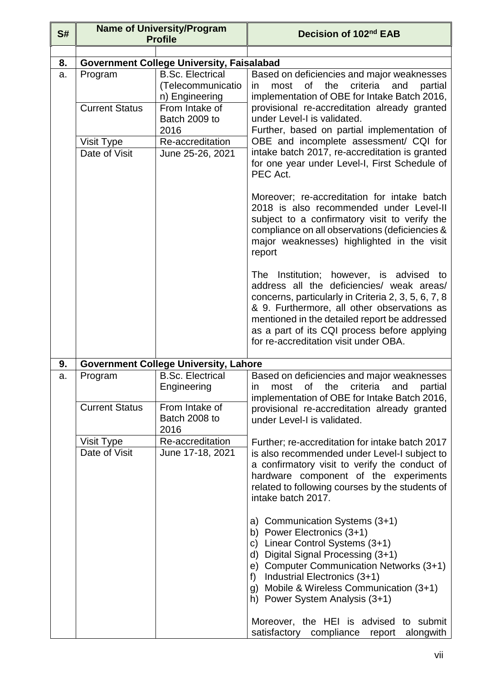| S# |                                  | <b>Name of University/Program</b><br><b>Profile</b>                                               | Decision of 102nd EAB                                                                                                                                                                                                                                                                                                                |
|----|----------------------------------|---------------------------------------------------------------------------------------------------|--------------------------------------------------------------------------------------------------------------------------------------------------------------------------------------------------------------------------------------------------------------------------------------------------------------------------------------|
|    |                                  |                                                                                                   |                                                                                                                                                                                                                                                                                                                                      |
| 8. |                                  | <b>Government College University, Faisalabad</b>                                                  |                                                                                                                                                                                                                                                                                                                                      |
| a. | Program<br><b>Current Status</b> | <b>B.Sc. Electrical</b><br>(Telecommunicatio<br>n) Engineering<br>From Intake of<br>Batch 2009 to | Based on deficiencies and major weaknesses<br>the<br>criteria<br>most<br>0f<br>and<br>partial<br>in.<br>implementation of OBE for Intake Batch 2016,<br>provisional re-accreditation already granted<br>under Level-I is validated.                                                                                                  |
|    |                                  | 2016                                                                                              | Further, based on partial implementation of                                                                                                                                                                                                                                                                                          |
|    | Visit Type                       | Re-accreditation                                                                                  | OBE and incomplete assessment/ CQI for                                                                                                                                                                                                                                                                                               |
|    | Date of Visit                    | June 25-26, 2021                                                                                  | intake batch 2017, re-accreditation is granted<br>for one year under Level-I, First Schedule of<br>PEC Act.                                                                                                                                                                                                                          |
|    |                                  |                                                                                                   | Moreover; re-accreditation for intake batch<br>2018 is also recommended under Level-II<br>subject to a confirmatory visit to verify the<br>compliance on all observations (deficiencies &<br>major weaknesses) highlighted in the visit<br>report                                                                                    |
|    |                                  |                                                                                                   | The Institution; however, is advised to<br>address all the deficiencies/ weak areas/<br>concerns, particularly in Criteria 2, 3, 5, 6, 7, 8<br>& 9. Furthermore, all other observations as<br>mentioned in the detailed report be addressed<br>as a part of its CQI process before applying<br>for re-accreditation visit under OBA. |
| 9. |                                  | <b>Government College University, Lahore</b>                                                      |                                                                                                                                                                                                                                                                                                                                      |
| a. | Program                          | <b>B.Sc. Electrical</b>                                                                           | Based on deficiencies and major weaknesses                                                                                                                                                                                                                                                                                           |
|    |                                  | Engineering                                                                                       | of the<br>criteria<br>most<br>and<br>partial<br>$\mathsf{I}$<br>implementation of OBE for Intake Batch 2016,                                                                                                                                                                                                                         |
|    | <b>Current Status</b>            | From Intake of<br>Batch 2008 to<br>2016                                                           | provisional re-accreditation already granted<br>under Level-I is validated.                                                                                                                                                                                                                                                          |
|    | Visit Type                       | Re-accreditation                                                                                  | Further; re-accreditation for intake batch 2017                                                                                                                                                                                                                                                                                      |
|    | Date of Visit                    | June 17-18, 2021                                                                                  | is also recommended under Level-I subject to<br>a confirmatory visit to verify the conduct of<br>hardware component of the experiments<br>related to following courses by the students of<br>intake batch 2017.                                                                                                                      |
|    |                                  |                                                                                                   | a) Communication Systems (3+1)<br>b) Power Electronics (3+1)<br>Linear Control Systems (3+1)<br>$\mathsf{C}$<br>d) Digital Signal Processing (3+1)<br>e) Computer Communication Networks (3+1)<br>Industrial Electronics (3+1)<br>f)<br>g) Mobile & Wireless Communication (3+1)<br>h) Power System Analysis (3+1)                   |
|    |                                  |                                                                                                   | Moreover, the HEI is advised to submit<br>satisfactory compliance report<br>alongwith                                                                                                                                                                                                                                                |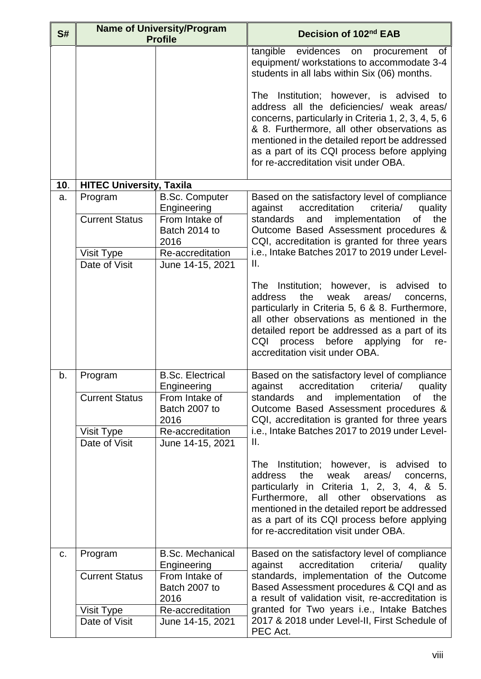| S#  | <b>Name of University/Program</b><br><b>Profile</b> |                                                        | Decision of 102nd EAB                                                                                                                                                                                                                                                                                                                |
|-----|-----------------------------------------------------|--------------------------------------------------------|--------------------------------------------------------------------------------------------------------------------------------------------------------------------------------------------------------------------------------------------------------------------------------------------------------------------------------------|
|     |                                                     |                                                        | tangible<br>evidences on procurement<br>of<br>equipment/ workstations to accommodate 3-4<br>students in all labs within Six (06) months.                                                                                                                                                                                             |
|     |                                                     |                                                        | The Institution; however, is advised to<br>address all the deficiencies/ weak areas/<br>concerns, particularly in Criteria 1, 2, 3, 4, 5, 6<br>& 8. Furthermore, all other observations as<br>mentioned in the detailed report be addressed<br>as a part of its CQI process before applying<br>for re-accreditation visit under OBA. |
| 10. | <b>HITEC University, Taxila</b>                     |                                                        |                                                                                                                                                                                                                                                                                                                                      |
| a.  | Program<br><b>Current Status</b>                    | <b>B.Sc. Computer</b><br>Engineering<br>From Intake of | Based on the satisfactory level of compliance<br>against<br>accreditation<br>criteria/<br>quality<br>implementation<br>standards<br>the<br>and<br>of                                                                                                                                                                                 |
|     |                                                     | Batch 2014 to<br>2016                                  | Outcome Based Assessment procedures &<br>CQI, accreditation is granted for three years                                                                                                                                                                                                                                               |
|     | Visit Type                                          | Re-accreditation                                       | i.e., Intake Batches 2017 to 2019 under Level-                                                                                                                                                                                                                                                                                       |
|     | Date of Visit                                       | June 14-15, 2021                                       | Ш.                                                                                                                                                                                                                                                                                                                                   |
|     |                                                     |                                                        | The Institution; however, is advised to<br>the<br>weak areas/<br>address<br>concerns,<br>particularly in Criteria 5, 6 & 8. Furthermore,<br>all other observations as mentioned in the<br>detailed report be addressed as a part of its<br>before<br>CQI<br>process<br>for<br>applying<br>re-<br>accreditation visit under OBA.      |
| b.  | Program                                             | <b>B.Sc. Electrical</b><br>Engineering                 | Based on the satisfactory level of compliance<br>accreditation<br>quality<br>criteria/<br>against                                                                                                                                                                                                                                    |
|     | <b>Current Status</b>                               | From Intake of<br>Batch 2007 to<br>2016                | implementation<br>standards<br>and<br>the<br>οf<br>Outcome Based Assessment procedures &<br>CQI, accreditation is granted for three years                                                                                                                                                                                            |
|     | Visit Type<br>Date of Visit                         | Re-accreditation<br>June 14-15, 2021                   | i.e., Intake Batches 2017 to 2019 under Level-<br>Ш.                                                                                                                                                                                                                                                                                 |
|     |                                                     |                                                        | The Institution; however, is advised to<br>address<br>the<br>weak<br>areas/<br>concerns,<br>particularly in Criteria 1, 2, 3, 4, & 5.<br>Furthermore, all other observations<br>as<br>mentioned in the detailed report be addressed<br>as a part of its CQI process before applying<br>for re-accreditation visit under OBA.         |
| C.  | Program                                             | <b>B.Sc. Mechanical</b><br>Engineering                 | Based on the satisfactory level of compliance<br>accreditation<br>criteria/<br>against<br>quality                                                                                                                                                                                                                                    |
|     | <b>Current Status</b>                               | From Intake of<br>Batch 2007 to<br>2016                | standards, implementation of the Outcome<br>Based Assessment procedures & CQI and as<br>a result of validation visit, re-accreditation is                                                                                                                                                                                            |
|     | Visit Type                                          | Re-accreditation                                       | granted for Two years i.e., Intake Batches                                                                                                                                                                                                                                                                                           |
|     | Date of Visit                                       | June 14-15, 2021                                       | 2017 & 2018 under Level-II, First Schedule of<br>PEC Act.                                                                                                                                                                                                                                                                            |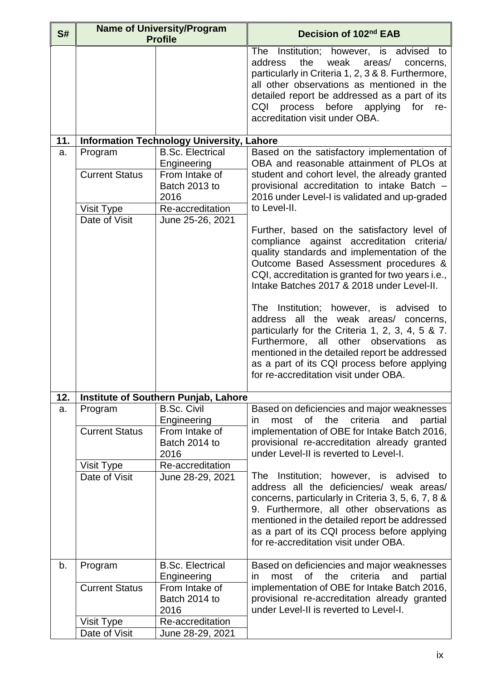| S#  | <b>Name of University/Program</b><br><b>Profile</b>             |                                                                                                                           | Decision of 102 <sup>nd</sup> EAB                                                                                                                                                                                                                                                                                                                                                                                                                                                                                                                                                                                                                                                                                                                                                                                                                                                           |
|-----|-----------------------------------------------------------------|---------------------------------------------------------------------------------------------------------------------------|---------------------------------------------------------------------------------------------------------------------------------------------------------------------------------------------------------------------------------------------------------------------------------------------------------------------------------------------------------------------------------------------------------------------------------------------------------------------------------------------------------------------------------------------------------------------------------------------------------------------------------------------------------------------------------------------------------------------------------------------------------------------------------------------------------------------------------------------------------------------------------------------|
|     |                                                                 |                                                                                                                           | Institution; however, is advised to<br><b>The</b><br>address<br>the<br>weak<br>areas/<br>concerns,<br>particularly in Criteria 1, 2, 3 & 8. Furthermore,<br>all other observations as mentioned in the<br>detailed report be addressed as a part of its<br>process before applying for<br><b>CQI</b><br>re-<br>accreditation visit under OBA.                                                                                                                                                                                                                                                                                                                                                                                                                                                                                                                                               |
| 11. |                                                                 | <b>Information Technology University, Lahore</b>                                                                          |                                                                                                                                                                                                                                                                                                                                                                                                                                                                                                                                                                                                                                                                                                                                                                                                                                                                                             |
| a.  | Program<br><b>Current Status</b><br>Visit Type<br>Date of Visit | <b>B.Sc. Electrical</b><br>Engineering<br>From Intake of<br>Batch 2013 to<br>2016<br>Re-accreditation<br>June 25-26, 2021 | Based on the satisfactory implementation of<br>OBA and reasonable attainment of PLOs at<br>student and cohort level, the already granted<br>provisional accreditation to intake Batch -<br>2016 under Level-I is validated and up-graded<br>to Level-II.<br>Further, based on the satisfactory level of<br>compliance against accreditation<br>criteria/<br>quality standards and implementation of the<br>Outcome Based Assessment procedures &<br>CQI, accreditation is granted for two years i.e.,<br>Intake Batches 2017 & 2018 under Level-II.<br>The Institution; however, is advised to<br>address all the weak areas/ concerns,<br>particularly for the Criteria 1, 2, 3, 4, 5 & 7.<br>other<br>Furthermore,<br>all<br>observations<br>as<br>mentioned in the detailed report be addressed<br>as a part of its CQI process before applying<br>for re-accreditation visit under OBA. |
| 12. |                                                                 | <b>Institute of Southern Punjab, Lahore</b>                                                                               |                                                                                                                                                                                                                                                                                                                                                                                                                                                                                                                                                                                                                                                                                                                                                                                                                                                                                             |
| a.  | Program<br><b>Current Status</b><br>Visit Type<br>Date of Visit | <b>B.Sc. Civil</b><br>Engineering<br>From Intake of<br>Batch 2014 to<br>2016<br>Re-accreditation<br>June 28-29, 2021      | Based on deficiencies and major weaknesses<br>criteria<br>0f<br>the<br>most<br>and<br>partial<br>in.<br>implementation of OBE for Intake Batch 2016,<br>provisional re-accreditation already granted<br>under Level-II is reverted to Level-I.<br>The Institution; however, is advised to<br>address all the deficiencies/ weak areas/<br>concerns, particularly in Criteria 3, 5, 6, 7, 8 &                                                                                                                                                                                                                                                                                                                                                                                                                                                                                                |
|     |                                                                 |                                                                                                                           | 9. Furthermore, all other observations as<br>mentioned in the detailed report be addressed<br>as a part of its CQI process before applying<br>for re-accreditation visit under OBA.                                                                                                                                                                                                                                                                                                                                                                                                                                                                                                                                                                                                                                                                                                         |
| b.  | Program<br><b>Current Status</b>                                | <b>B.Sc. Electrical</b><br>Engineering<br>From Intake of<br>Batch 2014 to                                                 | Based on deficiencies and major weaknesses<br>of<br>the<br>criteria<br>most<br>and<br>partial<br>in.<br>implementation of OBE for Intake Batch 2016,<br>provisional re-accreditation already granted                                                                                                                                                                                                                                                                                                                                                                                                                                                                                                                                                                                                                                                                                        |
|     | Visit Type                                                      | 2016<br>Re-accreditation                                                                                                  | under Level-II is reverted to Level-I.                                                                                                                                                                                                                                                                                                                                                                                                                                                                                                                                                                                                                                                                                                                                                                                                                                                      |
|     | Date of Visit                                                   | June 28-29, 2021                                                                                                          |                                                                                                                                                                                                                                                                                                                                                                                                                                                                                                                                                                                                                                                                                                                                                                                                                                                                                             |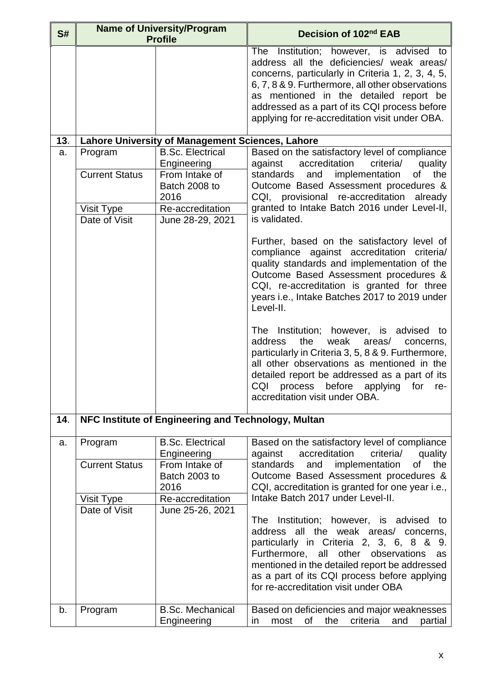| S#  |                                                                 | <b>Name of University/Program</b><br><b>Profile</b>                                                                       | Decision of 102 <sup>nd</sup> EAB                                                                                                                                                                                                                                                                                                                                                                                                                                                                                                                                                                                                                                                                                                                                                                                                                                                                                                                  |
|-----|-----------------------------------------------------------------|---------------------------------------------------------------------------------------------------------------------------|----------------------------------------------------------------------------------------------------------------------------------------------------------------------------------------------------------------------------------------------------------------------------------------------------------------------------------------------------------------------------------------------------------------------------------------------------------------------------------------------------------------------------------------------------------------------------------------------------------------------------------------------------------------------------------------------------------------------------------------------------------------------------------------------------------------------------------------------------------------------------------------------------------------------------------------------------|
|     |                                                                 |                                                                                                                           | Institution; however, is advised to<br><b>The</b><br>address all the deficiencies/ weak areas/<br>concerns, particularly in Criteria 1, 2, 3, 4, 5,<br>6, 7, 8 & 9. Furthermore, all other observations<br>as mentioned in the detailed report be<br>addressed as a part of its CQI process before<br>applying for re-accreditation visit under OBA.                                                                                                                                                                                                                                                                                                                                                                                                                                                                                                                                                                                               |
| 13. |                                                                 | Lahore University of Management Sciences, Lahore                                                                          |                                                                                                                                                                                                                                                                                                                                                                                                                                                                                                                                                                                                                                                                                                                                                                                                                                                                                                                                                    |
| a.  | Program<br><b>Current Status</b><br>Visit Type<br>Date of Visit | <b>B.Sc. Electrical</b><br>Engineering<br>From Intake of<br>Batch 2008 to<br>2016<br>Re-accreditation<br>June 28-29, 2021 | Based on the satisfactory level of compliance<br>accreditation<br>criteria/<br>quality<br>against<br>implementation<br>the<br>standards<br>and<br>of<br>Outcome Based Assessment procedures &<br>CQI, provisional re-accreditation<br>already<br>granted to Intake Batch 2016 under Level-II,<br>is validated.<br>Further, based on the satisfactory level of<br>compliance against accreditation<br>criteria/<br>quality standards and implementation of the<br>Outcome Based Assessment procedures &<br>CQI, re-accreditation is granted for three<br>years i.e., Intake Batches 2017 to 2019 under<br>Level-II.<br>The Institution; however, is advised to<br>address<br>weak<br>areas/<br>the<br>concerns,<br>particularly in Criteria 3, 5, 8 & 9. Furthermore,<br>all other observations as mentioned in the<br>detailed report be addressed as a part of its<br>CQI<br>process before applying for<br>re-<br>accreditation visit under OBA. |
| 14. |                                                                 | NFC Institute of Engineering and Technology, Multan                                                                       |                                                                                                                                                                                                                                                                                                                                                                                                                                                                                                                                                                                                                                                                                                                                                                                                                                                                                                                                                    |
| a.  | Program<br><b>Current Status</b><br>Visit Type<br>Date of Visit | <b>B.Sc. Electrical</b><br>Engineering<br>From Intake of<br>Batch 2003 to<br>2016<br>Re-accreditation<br>June 25-26, 2021 | Based on the satisfactory level of compliance<br>against<br>accreditation<br>criteria/<br>quality<br>implementation<br>the<br>standards<br>οf<br>and<br>Outcome Based Assessment procedures &<br>CQI, accreditation is granted for one year i.e.,<br>Intake Batch 2017 under Level-II.<br>The Institution; however, is advised to<br>address all the weak areas/ concerns,<br>particularly in Criteria 2, 3, 6, 8 & 9.<br>other observations<br>Furthermore,<br>all<br>as<br>mentioned in the detailed report be addressed<br>as a part of its CQI process before applying<br>for re-accreditation visit under OBA                                                                                                                                                                                                                                                                                                                                 |
| b.  | Program                                                         | <b>B.Sc. Mechanical</b><br>Engineering                                                                                    | Based on deficiencies and major weaknesses<br>of<br>the<br>criteria<br>and<br>most<br>partial<br>in.                                                                                                                                                                                                                                                                                                                                                                                                                                                                                                                                                                                                                                                                                                                                                                                                                                               |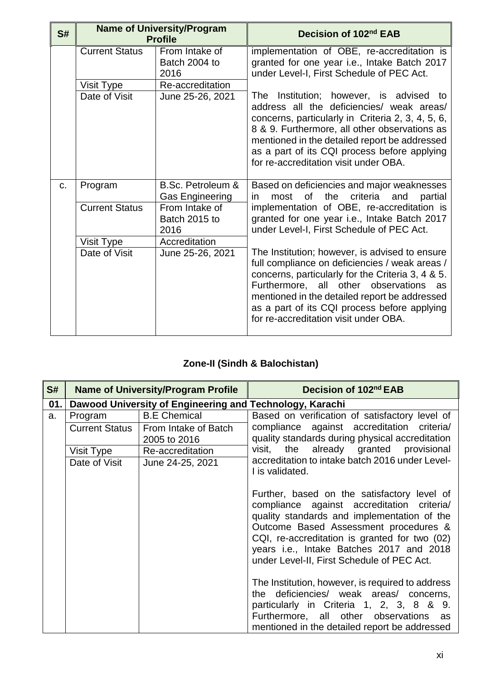| S# | <b>Name of University/Program</b><br><b>Profile</b> |                                             | Decision of 102 <sup>nd</sup> EAB                                                                                                                                                                                                                                                                                                         |
|----|-----------------------------------------------------|---------------------------------------------|-------------------------------------------------------------------------------------------------------------------------------------------------------------------------------------------------------------------------------------------------------------------------------------------------------------------------------------------|
|    | <b>Current Status</b>                               | From Intake of<br>Batch 2004 to<br>2016     | implementation of OBE, re-accreditation is<br>granted for one year i.e., Intake Batch 2017<br>under Level-I, First Schedule of PEC Act.                                                                                                                                                                                                   |
|    | Visit Type                                          | Re-accreditation                            |                                                                                                                                                                                                                                                                                                                                           |
|    | Date of Visit                                       | June 25-26, 2021                            | The Institution; however, is advised to<br>address all the deficiencies/ weak areas/<br>concerns, particularly in Criteria 2, 3, 4, 5, 6,<br>8 & 9. Furthermore, all other observations as<br>mentioned in the detailed report be addressed<br>as a part of its CQI process before applying<br>for re-accreditation visit under OBA.      |
| C. | Program                                             | B.Sc. Petroleum &<br><b>Gas Engineering</b> | Based on deficiencies and major weaknesses<br>criteria<br>the<br>most of<br>and<br>partial<br>in.                                                                                                                                                                                                                                         |
|    | <b>Current Status</b>                               | From Intake of<br>Batch 2015 to<br>2016     | implementation of OBE, re-accreditation is<br>granted for one year i.e., Intake Batch 2017<br>under Level-I, First Schedule of PEC Act.                                                                                                                                                                                                   |
|    | Visit Type                                          | Accreditation                               |                                                                                                                                                                                                                                                                                                                                           |
|    | Date of Visit                                       | June 25-26, 2021                            | The Institution; however, is advised to ensure<br>full compliance on deficiencies / weak areas /<br>concerns, particularly for the Criteria 3, 4 & 5.<br>Furthermore, all other observations as<br>mentioned in the detailed report be addressed<br>as a part of its CQI process before applying<br>for re-accreditation visit under OBA. |

## **Zone-II (Sindh & Balochistan)**

| S#  | <b>Name of University/Program Profile</b> |                                                          | Decision of 102nd EAB                                                                                                                                                                                                                                                                                                        |
|-----|-------------------------------------------|----------------------------------------------------------|------------------------------------------------------------------------------------------------------------------------------------------------------------------------------------------------------------------------------------------------------------------------------------------------------------------------------|
| 01. |                                           | Dawood University of Engineering and Technology, Karachi |                                                                                                                                                                                                                                                                                                                              |
| a.  | Program                                   | <b>B.E</b> Chemical                                      | Based on verification of satisfactory level of                                                                                                                                                                                                                                                                               |
|     | <b>Current Status</b>                     | From Intake of Batch<br>2005 to 2016                     | compliance against accreditation criteria/<br>quality standards during physical accreditation                                                                                                                                                                                                                                |
|     | Visit Type                                | Re-accreditation                                         | the already granted provisional<br>visit,                                                                                                                                                                                                                                                                                    |
|     | Date of Visit                             | June 24-25, 2021                                         | accreditation to intake batch 2016 under Level-<br>I is validated.                                                                                                                                                                                                                                                           |
|     |                                           |                                                          | Further, based on the satisfactory level of<br>compliance against accreditation criteria/<br>quality standards and implementation of the<br>Outcome Based Assessment procedures &<br>CQI, re-accreditation is granted for two (02)<br>years i.e., Intake Batches 2017 and 2018<br>under Level-II, First Schedule of PEC Act. |
|     |                                           |                                                          | The Institution, however, is required to address<br>the deficiencies/ weak areas/ concerns,<br>particularly in Criteria 1, 2, 3, 8 & 9.<br>Furthermore, all other observations as<br>mentioned in the detailed report be addressed                                                                                           |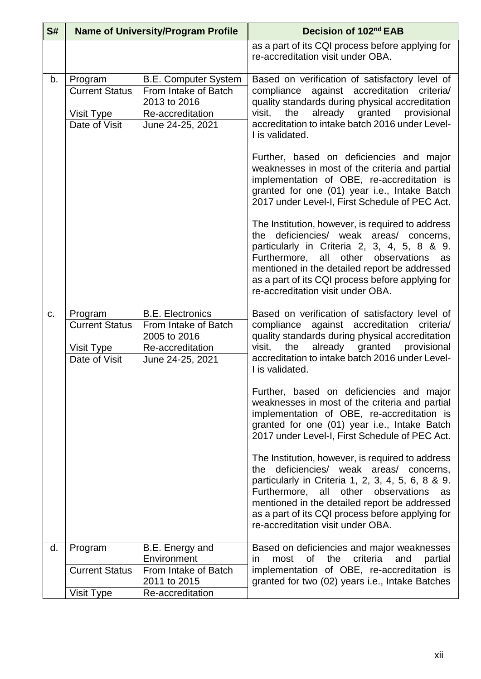| S# | <b>Name of University/Program Profile</b>                       |                                                                                                             | Decision of 102nd EAB                                                                                                                                                                                                                                                                                                                                                                                                                                                                                                        |
|----|-----------------------------------------------------------------|-------------------------------------------------------------------------------------------------------------|------------------------------------------------------------------------------------------------------------------------------------------------------------------------------------------------------------------------------------------------------------------------------------------------------------------------------------------------------------------------------------------------------------------------------------------------------------------------------------------------------------------------------|
|    |                                                                 |                                                                                                             | as a part of its CQI process before applying for<br>re-accreditation visit under OBA.                                                                                                                                                                                                                                                                                                                                                                                                                                        |
| b. | Program<br><b>Current Status</b><br>Visit Type<br>Date of Visit | <b>B.E. Computer System</b><br>From Intake of Batch<br>2013 to 2016<br>Re-accreditation<br>June 24-25, 2021 | Based on verification of satisfactory level of<br>compliance against accreditation<br>criteria/<br>quality standards during physical accreditation<br>already<br>granted<br>visit,<br>the<br>provisional<br>accreditation to intake batch 2016 under Level-<br>I is validated.<br>Further, based on deficiencies and major<br>weaknesses in most of the criteria and partial<br>implementation of OBE, re-accreditation is<br>granted for one (01) year i.e., Intake Batch<br>2017 under Level-I, First Schedule of PEC Act. |
|    |                                                                 |                                                                                                             | The Institution, however, is required to address<br>the deficiencies/ weak areas/ concerns,<br>particularly in Criteria 2, 3, 4, 5, 8 & 9.<br>Furthermore, all<br>other<br>observations<br>as<br>mentioned in the detailed report be addressed<br>as a part of its CQI process before applying for<br>re-accreditation visit under OBA.                                                                                                                                                                                      |
| C. | Program<br><b>Current Status</b><br>Visit Type<br>Date of Visit | <b>B.E. Electronics</b><br>From Intake of Batch<br>2005 to 2016<br>Re-accreditation<br>June 24-25, 2021     | Based on verification of satisfactory level of<br>compliance<br>against accreditation<br>criteria/<br>quality standards during physical accreditation<br>the<br>already granted provisional<br>visit,<br>accreditation to intake batch 2016 under Level-<br>I is validated.                                                                                                                                                                                                                                                  |
|    |                                                                 |                                                                                                             | Further, based on deficiencies and major<br>weaknesses in most of the criteria and partial<br>implementation of OBE, re-accreditation is<br>granted for one (01) year i.e., Intake Batch<br>2017 under Level-I, First Schedule of PEC Act.                                                                                                                                                                                                                                                                                   |
|    |                                                                 |                                                                                                             | The Institution, however, is required to address<br>the deficiencies/ weak areas/ concerns,<br>particularly in Criteria 1, 2, 3, 4, 5, 6, 8 & 9.<br>Furthermore, all other observations<br>as<br>mentioned in the detailed report be addressed<br>as a part of its CQI process before applying for<br>re-accreditation visit under OBA.                                                                                                                                                                                      |
| d. | Program<br><b>Current Status</b>                                | B.E. Energy and<br>Environment<br>From Intake of Batch                                                      | Based on deficiencies and major weaknesses<br>the<br>criteria<br>most<br>0f<br>and<br>partial<br>in.<br>implementation of OBE, re-accreditation is                                                                                                                                                                                                                                                                                                                                                                           |
|    |                                                                 | 2011 to 2015                                                                                                | granted for two (02) years i.e., Intake Batches                                                                                                                                                                                                                                                                                                                                                                                                                                                                              |
|    | Visit Type                                                      | Re-accreditation                                                                                            |                                                                                                                                                                                                                                                                                                                                                                                                                                                                                                                              |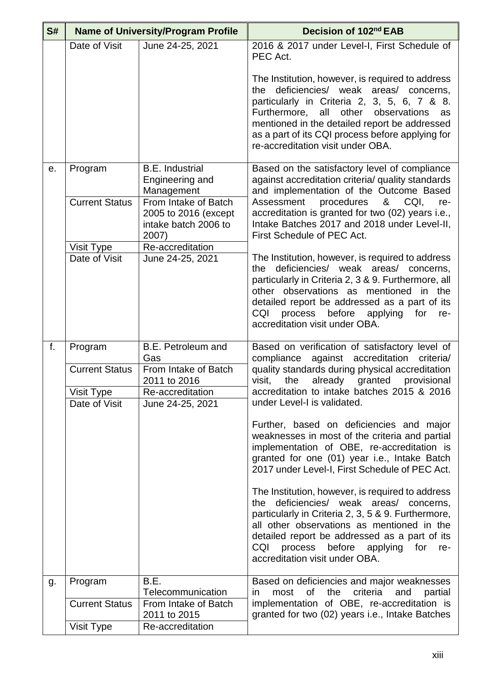| S# |                       | <b>Name of University/Program Profile</b>                                     | Decision of 102nd EAB                                                                                                                                                                                                                                                                                                                   |
|----|-----------------------|-------------------------------------------------------------------------------|-----------------------------------------------------------------------------------------------------------------------------------------------------------------------------------------------------------------------------------------------------------------------------------------------------------------------------------------|
|    | Date of Visit         | June 24-25, 2021                                                              | 2016 & 2017 under Level-I, First Schedule of<br>PEC Act.                                                                                                                                                                                                                                                                                |
|    |                       |                                                                               | The Institution, however, is required to address<br>the deficiencies/ weak areas/ concerns,<br>particularly in Criteria 2, 3, 5, 6, 7 & 8.<br>other<br>Furthermore, all<br>observations<br>as<br>mentioned in the detailed report be addressed<br>as a part of its CQI process before applying for<br>re-accreditation visit under OBA. |
| е. | Program               | <b>B.E.</b> Industrial<br>Engineering and<br>Management                       | Based on the satisfactory level of compliance<br>against accreditation criteria/ quality standards<br>and implementation of the Outcome Based                                                                                                                                                                                           |
|    | <b>Current Status</b> | From Intake of Batch<br>2005 to 2016 (except<br>intake batch 2006 to<br>2007) | Assessment<br>procedures<br>&<br>CQI,<br>re-<br>accreditation is granted for two (02) years i.e.,<br>Intake Batches 2017 and 2018 under Level-II,<br>First Schedule of PEC Act.                                                                                                                                                         |
|    | Visit Type            | Re-accreditation                                                              |                                                                                                                                                                                                                                                                                                                                         |
|    | Date of Visit         | June 24-25, 2021                                                              | The Institution, however, is required to address<br>the deficiencies/ weak areas/ concerns,<br>particularly in Criteria 2, 3 & 9. Furthermore, all<br>other observations as mentioned in the<br>detailed report be addressed as a part of its<br>CQI<br>before<br>for<br>process<br>applying<br>re-<br>accreditation visit under OBA.   |
| f. | Program               | B.E. Petroleum and                                                            | Based on verification of satisfactory level of                                                                                                                                                                                                                                                                                          |
|    | <b>Current Status</b> | Gas<br>From Intake of Batch<br>2011 to 2016                                   | compliance<br>against accreditation<br>criteria/<br>quality standards during physical accreditation<br>visit,<br>the<br>already<br>granted<br>provisional                                                                                                                                                                               |
|    | Visit Type            | Re-accreditation                                                              | accreditation to intake batches 2015 & 2016                                                                                                                                                                                                                                                                                             |
|    | Date of Visit         | June 24-25, 2021                                                              | under Level-I is validated.                                                                                                                                                                                                                                                                                                             |
|    |                       |                                                                               | Further, based on deficiencies and major<br>weaknesses in most of the criteria and partial<br>implementation of OBE, re-accreditation is<br>granted for one (01) year i.e., Intake Batch<br>2017 under Level-I, First Schedule of PEC Act.                                                                                              |
|    |                       |                                                                               | The Institution, however, is required to address<br>deficiencies/ weak areas/ concerns,<br>the<br>particularly in Criteria 2, 3, 5 & 9. Furthermore,<br>all other observations as mentioned in the<br>detailed report be addressed as a part of its<br>process before applying for<br>CQI<br>re-<br>accreditation visit under OBA.      |
| g. | Program               | B.E.<br>Telecommunication                                                     | Based on deficiencies and major weaknesses<br>most of the criteria<br>and<br>partial<br>in.                                                                                                                                                                                                                                             |
|    | <b>Current Status</b> | From Intake of Batch                                                          | implementation of OBE, re-accreditation is                                                                                                                                                                                                                                                                                              |
|    |                       | 2011 to 2015                                                                  | granted for two (02) years i.e., Intake Batches                                                                                                                                                                                                                                                                                         |
|    | Visit Type            | Re-accreditation                                                              |                                                                                                                                                                                                                                                                                                                                         |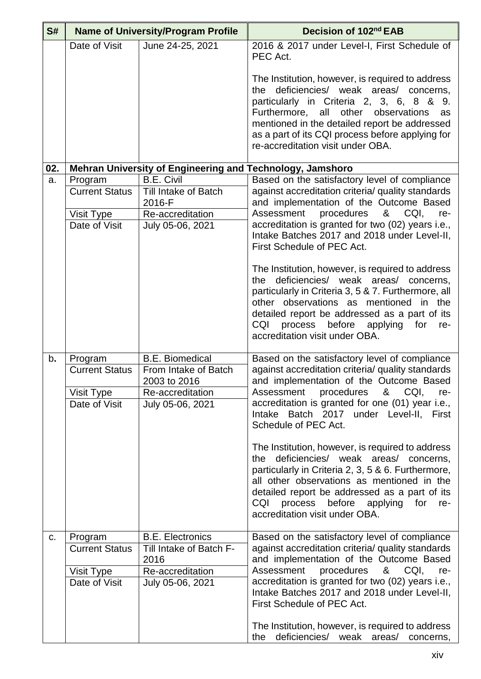| S#  |                                                      | <b>Name of University/Program Profile</b>                                    | Decision of 102nd EAB                                                                                                                                                                                                                                                                                                                 |
|-----|------------------------------------------------------|------------------------------------------------------------------------------|---------------------------------------------------------------------------------------------------------------------------------------------------------------------------------------------------------------------------------------------------------------------------------------------------------------------------------------|
|     | Date of Visit                                        | June 24-25, 2021                                                             | 2016 & 2017 under Level-I, First Schedule of<br>PEC Act.                                                                                                                                                                                                                                                                              |
|     |                                                      |                                                                              | The Institution, however, is required to address<br>the deficiencies/ weak areas/ concerns,<br>particularly in Criteria 2, 3, 6, 8 & 9.<br>other<br>observations<br>Furthermore, all<br>as<br>mentioned in the detailed report be addressed<br>as a part of its CQI process before applying for<br>re-accreditation visit under OBA.  |
| 02. |                                                      | Mehran University of Engineering and Technology, Jamshoro                    |                                                                                                                                                                                                                                                                                                                                       |
| a.  | Program                                              | <b>B.E. Civil</b>                                                            | Based on the satisfactory level of compliance                                                                                                                                                                                                                                                                                         |
|     | <b>Current Status</b>                                | Till Intake of Batch<br>2016-F                                               | against accreditation criteria/ quality standards<br>and implementation of the Outcome Based                                                                                                                                                                                                                                          |
|     | Visit Type                                           | Re-accreditation                                                             | Assessment<br>procedures<br>&<br>CQI,<br>re-                                                                                                                                                                                                                                                                                          |
|     | Date of Visit                                        | July 05-06, 2021                                                             | accreditation is granted for two (02) years i.e.,<br>Intake Batches 2017 and 2018 under Level-II,<br>First Schedule of PEC Act.                                                                                                                                                                                                       |
|     |                                                      |                                                                              | The Institution, however, is required to address<br>deficiencies/ weak areas/ concerns,<br>the<br>particularly in Criteria 3, 5 & 7. Furthermore, all<br>other observations as mentioned in the<br>detailed report be addressed as a part of its<br>process before applying<br>CQI<br>for<br>re-<br>accreditation visit under OBA.    |
| b.  | Program                                              | <b>B.E. Biomedical</b>                                                       | Based on the satisfactory level of compliance                                                                                                                                                                                                                                                                                         |
|     | <b>Current Status</b><br>Visit Type<br>Date of Visit | From Intake of Batch<br>2003 to 2016<br>Re-accreditation<br>July 05-06, 2021 | against accreditation criteria/ quality standards<br>and implementation of the Outcome Based<br>Assessment procedures<br>& CQI,<br>re-<br>accreditation is granted for one (01) year i.e.,<br>Intake Batch 2017 under Level-II, First<br>Schedule of PEC Act.                                                                         |
|     |                                                      |                                                                              | The Institution, however, is required to address<br>the deficiencies/ weak areas/ concerns,<br>particularly in Criteria 2, 3, 5 & 6. Furthermore,<br>all other observations as mentioned in the<br>detailed report be addressed as a part of its<br>CQI<br>process before<br>for<br>applying<br>re-<br>accreditation visit under OBA. |
| C.  | Program                                              | <b>B.E. Electronics</b>                                                      | Based on the satisfactory level of compliance                                                                                                                                                                                                                                                                                         |
|     | <b>Current Status</b>                                | Till Intake of Batch F-                                                      | against accreditation criteria/ quality standards                                                                                                                                                                                                                                                                                     |
|     |                                                      | 2016                                                                         | and implementation of the Outcome Based<br>procedures<br>Assessment<br>&<br>CQI,<br>re-                                                                                                                                                                                                                                               |
|     | Visit Type<br>Date of Visit                          | Re-accreditation<br>July 05-06, 2021                                         | accreditation is granted for two (02) years i.e.,<br>Intake Batches 2017 and 2018 under Level-II,<br>First Schedule of PEC Act.                                                                                                                                                                                                       |
|     |                                                      |                                                                              | The Institution, however, is required to address<br>deficiencies/ weak areas/ concerns,<br>the                                                                                                                                                                                                                                        |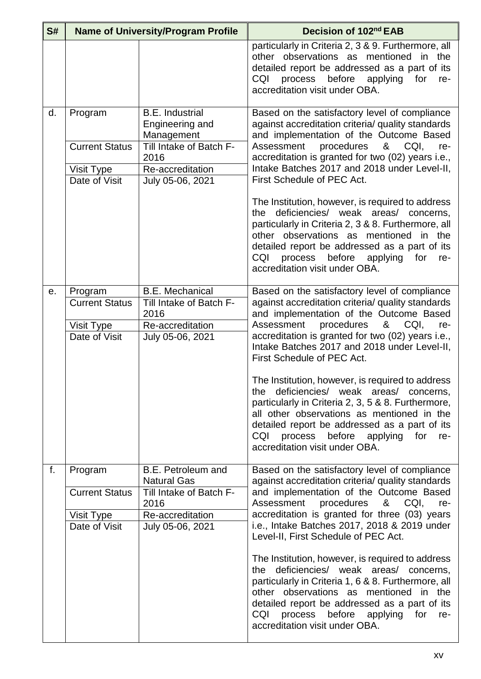| S# | <b>Name of University/Program Profile</b>                       |                                                                                                   | Decision of 102nd EAB                                                                                                                                                                                                                                                                                                              |
|----|-----------------------------------------------------------------|---------------------------------------------------------------------------------------------------|------------------------------------------------------------------------------------------------------------------------------------------------------------------------------------------------------------------------------------------------------------------------------------------------------------------------------------|
|    |                                                                 |                                                                                                   | particularly in Criteria 2, 3 & 9. Furthermore, all<br>other observations as mentioned in the<br>detailed report be addressed as a part of its<br>process before applying<br>CQI<br>for<br>re-<br>accreditation visit under OBA.                                                                                                   |
| d. | Program<br><b>Current Status</b>                                | <b>B.E.</b> Industrial<br>Engineering and<br>Management<br>Till Intake of Batch F-<br>2016        | Based on the satisfactory level of compliance<br>against accreditation criteria/ quality standards<br>and implementation of the Outcome Based<br>procedures<br>& CQI,<br>Assessment<br>re-<br>accreditation is granted for two (02) years i.e.,                                                                                    |
|    | Visit Type<br>Date of Visit                                     | Re-accreditation<br>July 05-06, 2021                                                              | Intake Batches 2017 and 2018 under Level-II,<br>First Schedule of PEC Act.                                                                                                                                                                                                                                                         |
|    |                                                                 |                                                                                                   | The Institution, however, is required to address<br>deficiencies/ weak areas/ concerns,<br>the<br>particularly in Criteria 2, 3 & 8. Furthermore, all<br>other observations as mentioned in the<br>detailed report be addressed as a part of its<br>CQI<br>process before applying<br>for<br>re-<br>accreditation visit under OBA. |
| е. | Program<br><b>Current Status</b><br>Visit Type<br>Date of Visit | <b>B.E. Mechanical</b><br>Till Intake of Batch F-<br>2016<br>Re-accreditation<br>July 05-06, 2021 | Based on the satisfactory level of compliance<br>against accreditation criteria/ quality standards<br>and implementation of the Outcome Based<br>Assessment<br>procedures<br>& CQI,<br>re-<br>accreditation is granted for two (02) years i.e.,<br>Intake Batches 2017 and 2018 under Level-II,<br>First Schedule of PEC Act.      |
|    |                                                                 |                                                                                                   | The Institution, however, is required to address<br>the deficiencies/ weak areas/ concerns,<br>particularly in Criteria 2, 3, 5 & 8. Furthermore,<br>all other observations as mentioned in the<br>detailed report be addressed as a part of its<br>CQI<br>process before applying for<br>re-<br>accreditation visit under OBA.    |
| f. | Program                                                         | B.E. Petroleum and<br><b>Natural Gas</b>                                                          | Based on the satisfactory level of compliance<br>against accreditation criteria/ quality standards                                                                                                                                                                                                                                 |
|    | <b>Current Status</b>                                           | Till Intake of Batch F-<br>2016                                                                   | and implementation of the Outcome Based<br>Assessment<br>procedures<br>&<br>CQI,<br>re-                                                                                                                                                                                                                                            |
|    | Visit Type<br>Date of Visit                                     | Re-accreditation<br>July 05-06, 2021                                                              | accreditation is granted for three (03) years<br>i.e., Intake Batches 2017, 2018 & 2019 under<br>Level-II, First Schedule of PEC Act.                                                                                                                                                                                              |
|    |                                                                 |                                                                                                   | The Institution, however, is required to address<br>deficiencies/ weak areas/ concerns,<br>the<br>particularly in Criteria 1, 6 & 8. Furthermore, all<br>other observations as mentioned in the<br>detailed report be addressed as a part of its<br>process before<br>CQI<br>applying for<br>re-<br>accreditation visit under OBA. |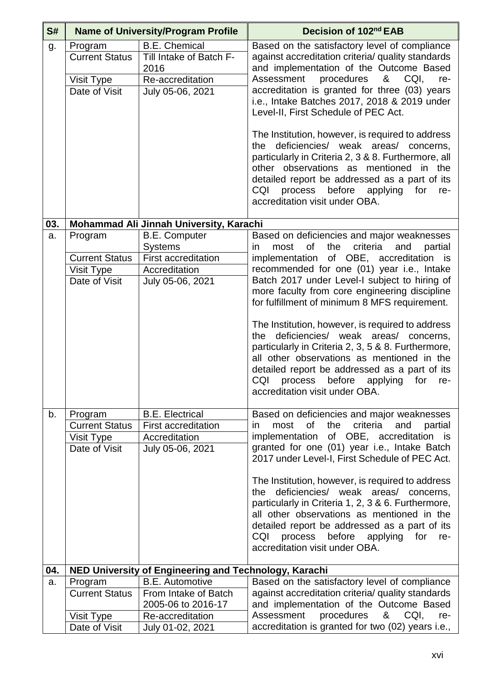| S#  |                                                                 | <b>Name of University/Program Profile</b>                                                                 | Decision of 102 <sup>nd</sup> EAB                                                                                                                                                                                                                                                                                                                                                                                                                                                                                                                                                                                                                                                            |
|-----|-----------------------------------------------------------------|-----------------------------------------------------------------------------------------------------------|----------------------------------------------------------------------------------------------------------------------------------------------------------------------------------------------------------------------------------------------------------------------------------------------------------------------------------------------------------------------------------------------------------------------------------------------------------------------------------------------------------------------------------------------------------------------------------------------------------------------------------------------------------------------------------------------|
| g.  | Program<br><b>Current Status</b><br>Visit Type<br>Date of Visit | <b>B.E. Chemical</b><br>Till Intake of Batch F-<br>2016<br>Re-accreditation<br>July 05-06, 2021           | Based on the satisfactory level of compliance<br>against accreditation criteria/ quality standards<br>and implementation of the Outcome Based<br>procedures<br>& CQI,<br>Assessment<br>re-<br>accreditation is granted for three (03) years<br>i.e., Intake Batches 2017, 2018 & 2019 under<br>Level-II, First Schedule of PEC Act.<br>The Institution, however, is required to address<br>deficiencies/ weak areas/ concerns,<br>the<br>particularly in Criteria 2, 3 & 8. Furthermore, all<br>other observations as mentioned in the<br>detailed report be addressed as a part of its<br>CQI<br>process before applying for<br>re-<br>accreditation visit under OBA.                       |
| 03. |                                                                 | Mohammad Ali Jinnah University, Karachi                                                                   |                                                                                                                                                                                                                                                                                                                                                                                                                                                                                                                                                                                                                                                                                              |
| a.  | Program<br><b>Current Status</b><br>Visit Type<br>Date of Visit | <b>B.E. Computer</b><br><b>Systems</b><br><b>First accreditation</b><br>Accreditation<br>July 05-06, 2021 | Based on deficiencies and major weaknesses<br>of<br>criteria<br>most<br>the<br>partial<br>and<br>in.<br>implementation of OBE, accreditation is<br>recommended for one (01) year i.e., Intake<br>Batch 2017 under Level-I subject to hiring of<br>more faculty from core engineering discipline<br>for fulfillment of minimum 8 MFS requirement.<br>The Institution, however, is required to address<br>the deficiencies/ weak areas/ concerns,<br>particularly in Criteria 2, 3, 5 & 8. Furthermore,<br>all other observations as mentioned in the<br>detailed report be addressed as a part of its<br>CQI<br>before<br>for<br>process<br>applying<br>re-<br>accreditation visit under OBA. |
| b.  | Program<br><b>Current Status</b><br>Visit Type<br>Date of Visit | <b>B.E. Electrical</b><br><b>First accreditation</b><br>Accreditation<br>July 05-06, 2021                 | Based on deficiencies and major weaknesses<br>of<br>the<br>criteria<br>most<br>and<br>partial<br>ın<br>implementation of OBE, accreditation is<br>granted for one (01) year i.e., Intake Batch<br>2017 under Level-I, First Schedule of PEC Act.<br>The Institution, however, is required to address<br>deficiencies/ weak areas/ concerns,<br>the<br>particularly in Criteria 1, 2, 3 & 6. Furthermore,<br>all other observations as mentioned in the<br>detailed report be addressed as a part of its<br>process before<br>CQI<br>applying<br>for<br>re-<br>accreditation visit under OBA.                                                                                                 |
| 04. |                                                                 | NED University of Engineering and Technology, Karachi                                                     |                                                                                                                                                                                                                                                                                                                                                                                                                                                                                                                                                                                                                                                                                              |
| a.  | Program                                                         | <b>B.E. Automotive</b>                                                                                    | Based on the satisfactory level of compliance                                                                                                                                                                                                                                                                                                                                                                                                                                                                                                                                                                                                                                                |
|     | <b>Current Status</b>                                           | From Intake of Batch<br>2005-06 to 2016-17                                                                | against accreditation criteria/ quality standards<br>and implementation of the Outcome Based                                                                                                                                                                                                                                                                                                                                                                                                                                                                                                                                                                                                 |
|     | Visit Type                                                      | Re-accreditation                                                                                          | procedures<br>& CQI,<br>Assessment<br>re-                                                                                                                                                                                                                                                                                                                                                                                                                                                                                                                                                                                                                                                    |
|     | Date of Visit                                                   | July 01-02, 2021                                                                                          | accreditation is granted for two (02) years i.e.,                                                                                                                                                                                                                                                                                                                                                                                                                                                                                                                                                                                                                                            |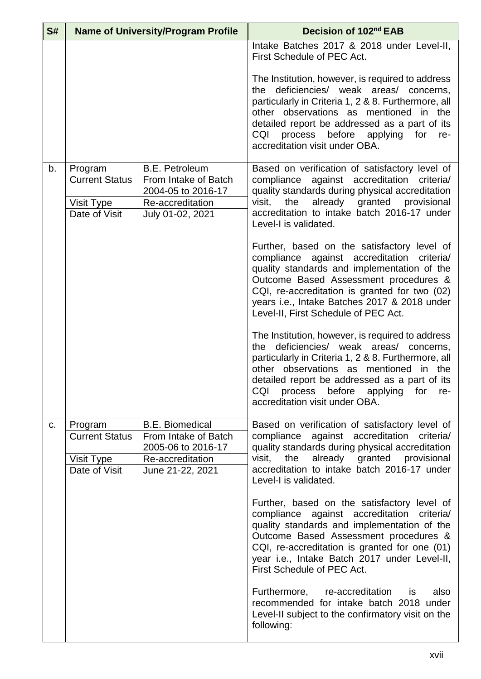| S# | <b>Name of University/Program Profile</b> |                                            | Decision of 102nd EAB                                                                                                                                                                                                                                                                                                           |
|----|-------------------------------------------|--------------------------------------------|---------------------------------------------------------------------------------------------------------------------------------------------------------------------------------------------------------------------------------------------------------------------------------------------------------------------------------|
|    |                                           |                                            | Intake Batches 2017 & 2018 under Level-II,<br>First Schedule of PEC Act.                                                                                                                                                                                                                                                        |
|    |                                           |                                            | The Institution, however, is required to address<br>the deficiencies/ weak areas/ concerns,<br>particularly in Criteria 1, 2 & 8. Furthermore, all<br>other observations as mentioned in the<br>detailed report be addressed as a part of its<br>process before applying<br>CQI<br>for<br>re-<br>accreditation visit under OBA. |
| b. | Program                                   | <b>B.E. Petroleum</b>                      | Based on verification of satisfactory level of                                                                                                                                                                                                                                                                                  |
|    | <b>Current Status</b>                     | From Intake of Batch<br>2004-05 to 2016-17 | compliance against accreditation<br>criteria/<br>quality standards during physical accreditation                                                                                                                                                                                                                                |
|    | Visit Type                                | Re-accreditation                           | the<br>already granted provisional<br>visit,                                                                                                                                                                                                                                                                                    |
|    | Date of Visit                             | July 01-02, 2021                           | accreditation to intake batch 2016-17 under<br>Level-I is validated.                                                                                                                                                                                                                                                            |
|    |                                           |                                            | Further, based on the satisfactory level of<br>compliance against accreditation<br>criteria/<br>quality standards and implementation of the<br>Outcome Based Assessment procedures &<br>CQI, re-accreditation is granted for two (02)<br>years i.e., Intake Batches 2017 & 2018 under<br>Level-II, First Schedule of PEC Act.   |
|    |                                           |                                            | The Institution, however, is required to address<br>the deficiencies/ weak areas/ concerns,<br>particularly in Criteria 1, 2 & 8. Furthermore, all<br>other observations as mentioned in the<br>detailed report be addressed as a part of its<br>CQI<br>process before applying for<br>re-<br>accreditation visit under OBA.    |
| C. | Program                                   | <b>B.E. Biomedical</b>                     | Based on verification of satisfactory level of                                                                                                                                                                                                                                                                                  |
|    | <b>Current Status</b>                     | From Intake of Batch<br>2005-06 to 2016-17 | compliance against accreditation<br>criteria/<br>quality standards during physical accreditation                                                                                                                                                                                                                                |
|    | Visit Type                                | Re-accreditation                           | the<br>already granted provisional<br>visit,                                                                                                                                                                                                                                                                                    |
|    | Date of Visit                             | June 21-22, 2021                           | accreditation to intake batch 2016-17 under<br>Level-I is validated.                                                                                                                                                                                                                                                            |
|    |                                           |                                            | Further, based on the satisfactory level of<br>compliance against accreditation criteria/<br>quality standards and implementation of the<br>Outcome Based Assessment procedures &<br>CQI, re-accreditation is granted for one (01)<br>year i.e., Intake Batch 2017 under Level-II,<br>First Schedule of PEC Act.                |
|    |                                           |                                            | Furthermore, re-accreditation is<br>also<br>recommended for intake batch 2018 under<br>Level-II subject to the confirmatory visit on the<br>following:                                                                                                                                                                          |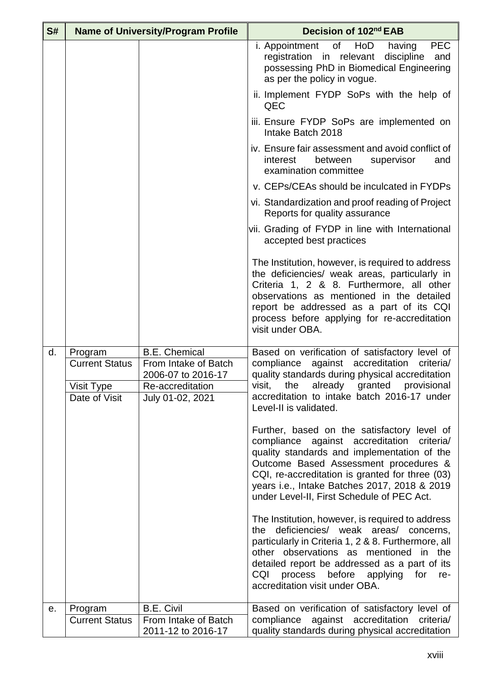| S# |                       | <b>Name of University/Program Profile</b>  | Decision of 102 <sup>nd</sup> EAB                                                                                                                                                                                                                                                                                                  |
|----|-----------------------|--------------------------------------------|------------------------------------------------------------------------------------------------------------------------------------------------------------------------------------------------------------------------------------------------------------------------------------------------------------------------------------|
|    |                       |                                            | HoD<br><b>PEC</b><br>i. Appointment<br>of<br>having<br>discipline<br>registration in relevant<br>and<br>possessing PhD in Biomedical Engineering<br>as per the policy in vogue.                                                                                                                                                    |
|    |                       |                                            | ii. Implement FYDP SoPs with the help of<br>QEC                                                                                                                                                                                                                                                                                    |
|    |                       |                                            | iii. Ensure FYDP SoPs are implemented on<br>Intake Batch 2018                                                                                                                                                                                                                                                                      |
|    |                       |                                            | iv. Ensure fair assessment and avoid conflict of<br>interest<br>between<br>supervisor<br>and<br>examination committee                                                                                                                                                                                                              |
|    |                       |                                            | v. CEPs/CEAs should be inculcated in FYDPs                                                                                                                                                                                                                                                                                         |
|    |                       |                                            | vi. Standardization and proof reading of Project<br>Reports for quality assurance                                                                                                                                                                                                                                                  |
|    |                       |                                            | vii. Grading of FYDP in line with International<br>accepted best practices                                                                                                                                                                                                                                                         |
|    |                       |                                            | The Institution, however, is required to address<br>the deficiencies/ weak areas, particularly in<br>Criteria 1, 2 & 8. Furthermore, all other<br>observations as mentioned in the detailed<br>report be addressed as a part of its CQI<br>process before applying for re-accreditation<br>visit under OBA.                        |
| d. | Program               | <b>B.E. Chemical</b>                       | Based on verification of satisfactory level of                                                                                                                                                                                                                                                                                     |
|    | <b>Current Status</b> | From Intake of Batch<br>2006-07 to 2016-17 | compliance against accreditation<br>criteria/<br>quality standards during physical accreditation                                                                                                                                                                                                                                   |
|    | Visit Type            | Re-accreditation                           | visit, the already granted provisional                                                                                                                                                                                                                                                                                             |
|    | Date of Visit         | July 01-02, 2021                           | accreditation to intake batch 2016-17 under<br>Level-II is validated.                                                                                                                                                                                                                                                              |
|    |                       |                                            | Further, based on the satisfactory level of<br>compliance against accreditation criteria/<br>quality standards and implementation of the<br>Outcome Based Assessment procedures &<br>CQI, re-accreditation is granted for three (03)<br>years i.e., Intake Batches 2017, 2018 & 2019<br>under Level-II, First Schedule of PEC Act. |
|    |                       |                                            | The Institution, however, is required to address<br>the deficiencies/ weak areas/ concerns,<br>particularly in Criteria 1, 2 & 8. Furthermore, all<br>other observations as mentioned in the<br>detailed report be addressed as a part of its<br>CQI<br>process before applying<br>for<br>re-<br>accreditation visit under OBA.    |
| е. | Program               | <b>B.E. Civil</b>                          | Based on verification of satisfactory level of                                                                                                                                                                                                                                                                                     |
|    | <b>Current Status</b> | From Intake of Batch<br>2011-12 to 2016-17 | compliance against accreditation<br>criteria/<br>quality standards during physical accreditation                                                                                                                                                                                                                                   |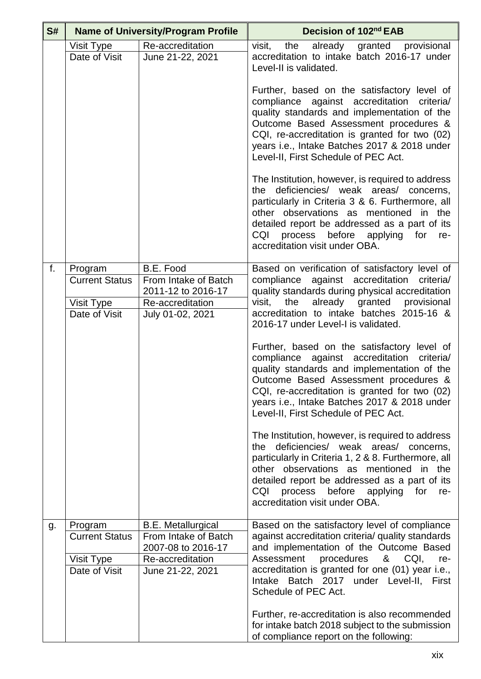| S# |                                                                 | <b>Name of University/Program Profile</b>                                                                       | Decision of 102nd EAB                                                                                                                                                                                                                                                                                                         |
|----|-----------------------------------------------------------------|-----------------------------------------------------------------------------------------------------------------|-------------------------------------------------------------------------------------------------------------------------------------------------------------------------------------------------------------------------------------------------------------------------------------------------------------------------------|
|    | Visit Type<br>Date of Visit                                     | Re-accreditation<br>June 21-22, 2021                                                                            | already granted provisional<br>visit.<br>the<br>accreditation to intake batch 2016-17 under<br>Level-II is validated.                                                                                                                                                                                                         |
|    |                                                                 |                                                                                                                 | Further, based on the satisfactory level of<br>compliance against accreditation<br>criteria/<br>quality standards and implementation of the<br>Outcome Based Assessment procedures &<br>CQI, re-accreditation is granted for two (02)<br>years i.e., Intake Batches 2017 & 2018 under<br>Level-II, First Schedule of PEC Act. |
|    |                                                                 |                                                                                                                 | The Institution, however, is required to address<br>the deficiencies/ weak areas/ concerns,<br>particularly in Criteria 3 & 6. Furthermore, all<br>other observations as mentioned in the<br>detailed report be addressed as a part of its<br>CQI<br>process before applying for re-<br>accreditation visit under OBA.        |
| f. | Program<br><b>Current Status</b><br>Visit Type<br>Date of Visit | B.E. Food<br>From Intake of Batch<br>2011-12 to 2016-17<br>Re-accreditation<br>July 01-02, 2021                 | Based on verification of satisfactory level of<br>compliance against accreditation criteria/<br>quality standards during physical accreditation<br>already granted provisional<br>visit,<br>the<br>accreditation to intake batches 2015-16 &<br>2016-17 under Level-I is validated.                                           |
|    |                                                                 |                                                                                                                 | Further, based on the satisfactory level of<br>compliance against accreditation criteria/<br>quality standards and implementation of the<br>Outcome Based Assessment procedures &<br>CQI, re-accreditation is granted for two (02)<br>years i.e., Intake Batches 2017 & 2018 under<br>Level-II, First Schedule of PEC Act.    |
|    |                                                                 |                                                                                                                 | The Institution, however, is required to address<br>the deficiencies/ weak areas/ concerns,<br>particularly in Criteria 1, 2 & 8. Furthermore, all<br>other observations as mentioned in the<br>detailed report be addressed as a part of its<br>CQI<br>process before applying for<br>re-<br>accreditation visit under OBA.  |
| g. | Program<br><b>Current Status</b><br>Visit Type<br>Date of Visit | <b>B.E. Metallurgical</b><br>From Intake of Batch<br>2007-08 to 2016-17<br>Re-accreditation<br>June 21-22, 2021 | Based on the satisfactory level of compliance<br>against accreditation criteria/ quality standards<br>and implementation of the Outcome Based<br>procedures<br>& CQI, re-<br>Assessment<br>accreditation is granted for one (01) year i.e.,<br>Intake Batch 2017 under Level-II, First<br>Schedule of PEC Act.                |
|    |                                                                 |                                                                                                                 | Further, re-accreditation is also recommended<br>for intake batch 2018 subject to the submission<br>of compliance report on the following:                                                                                                                                                                                    |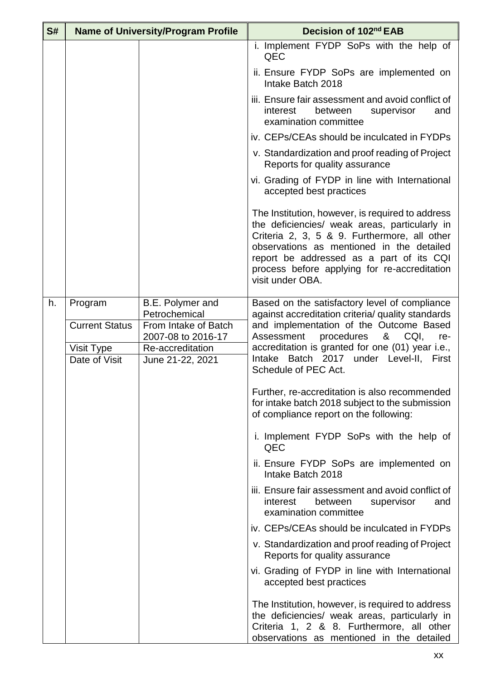| S# | <b>Name of University/Program Profile</b> |                                                                                 | Decision of 102nd EAB                                                                                                                                                                                                                                                                                          |
|----|-------------------------------------------|---------------------------------------------------------------------------------|----------------------------------------------------------------------------------------------------------------------------------------------------------------------------------------------------------------------------------------------------------------------------------------------------------------|
|    |                                           |                                                                                 | i. Implement FYDP SoPs with the help of<br>QEC                                                                                                                                                                                                                                                                 |
|    |                                           |                                                                                 | ii. Ensure FYDP SoPs are implemented on<br>Intake Batch 2018                                                                                                                                                                                                                                                   |
|    |                                           |                                                                                 | iii. Ensure fair assessment and avoid conflict of<br>interest<br>between<br>and<br>supervisor<br>examination committee                                                                                                                                                                                         |
|    |                                           |                                                                                 | iv. CEPs/CEAs should be inculcated in FYDPs                                                                                                                                                                                                                                                                    |
|    |                                           |                                                                                 | v. Standardization and proof reading of Project<br>Reports for quality assurance                                                                                                                                                                                                                               |
|    |                                           |                                                                                 | vi. Grading of FYDP in line with International<br>accepted best practices                                                                                                                                                                                                                                      |
|    |                                           |                                                                                 | The Institution, however, is required to address<br>the deficiencies/ weak areas, particularly in<br>Criteria 2, 3, 5 & 9. Furthermore, all other<br>observations as mentioned in the detailed<br>report be addressed as a part of its CQI<br>process before applying for re-accreditation<br>visit under OBA. |
| h. | Program                                   | B.E. Polymer and                                                                | Based on the satisfactory level of compliance                                                                                                                                                                                                                                                                  |
|    | <b>Current Status</b><br>Visit Type       | Petrochemical<br>From Intake of Batch<br>2007-08 to 2016-17<br>Re-accreditation | against accreditation criteria/ quality standards<br>and implementation of the Outcome Based<br>Assessment<br>&<br>procedures<br>CQI,<br>re-<br>accreditation is granted for one (01) year i.e.,                                                                                                               |
|    | Date of Visit                             | June 21-22, 2021                                                                | Intake Batch 2017 under Level-II, First<br>Schedule of PEC Act.                                                                                                                                                                                                                                                |
|    |                                           |                                                                                 | Further, re-accreditation is also recommended<br>for intake batch 2018 subject to the submission<br>of compliance report on the following:                                                                                                                                                                     |
|    |                                           |                                                                                 | i. Implement FYDP SoPs with the help of<br>QEC                                                                                                                                                                                                                                                                 |
|    |                                           |                                                                                 | ii. Ensure FYDP SoPs are implemented on<br>Intake Batch 2018                                                                                                                                                                                                                                                   |
|    |                                           |                                                                                 | iii. Ensure fair assessment and avoid conflict of<br>between<br>interest<br>supervisor<br>and<br>examination committee                                                                                                                                                                                         |
|    |                                           |                                                                                 | iv. CEPs/CEAs should be inculcated in FYDPs                                                                                                                                                                                                                                                                    |
|    |                                           |                                                                                 | v. Standardization and proof reading of Project<br>Reports for quality assurance                                                                                                                                                                                                                               |
|    |                                           |                                                                                 | vi. Grading of FYDP in line with International<br>accepted best practices                                                                                                                                                                                                                                      |
|    |                                           |                                                                                 | The Institution, however, is required to address<br>the deficiencies/ weak areas, particularly in<br>Criteria 1, 2 & 8. Furthermore, all other<br>observations as mentioned in the detailed                                                                                                                    |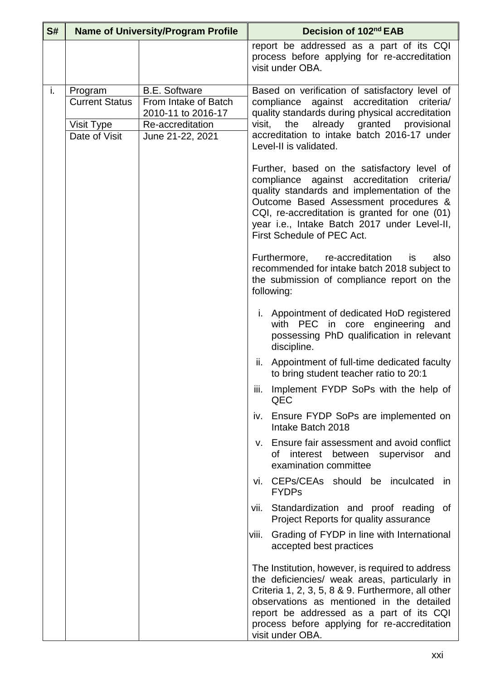| S# | <b>Name of University/Program Profile</b> |                                      | Decision of 102 <sup>nd</sup> EAB                                                                                                                                                                                                                                                                                    |
|----|-------------------------------------------|--------------------------------------|----------------------------------------------------------------------------------------------------------------------------------------------------------------------------------------------------------------------------------------------------------------------------------------------------------------------|
|    |                                           |                                      | report be addressed as a part of its CQI<br>process before applying for re-accreditation<br>visit under OBA.                                                                                                                                                                                                         |
| i. | Program                                   | <b>B.E. Software</b>                 | Based on verification of satisfactory level of                                                                                                                                                                                                                                                                       |
|    | <b>Current Status</b>                     | From Intake of Batch                 | compliance against accreditation<br>criteria/                                                                                                                                                                                                                                                                        |
|    |                                           | 2010-11 to 2016-17                   | quality standards during physical accreditation<br>the<br>visit.                                                                                                                                                                                                                                                     |
|    | Visit Type<br>Date of Visit               | Re-accreditation<br>June 21-22, 2021 | already granted provisional<br>accreditation to intake batch 2016-17 under                                                                                                                                                                                                                                           |
|    |                                           |                                      | Level-II is validated.                                                                                                                                                                                                                                                                                               |
|    |                                           |                                      | Further, based on the satisfactory level of<br>compliance against accreditation<br>criteria/<br>quality standards and implementation of the<br>Outcome Based Assessment procedures &<br>CQI, re-accreditation is granted for one (01)<br>year i.e., Intake Batch 2017 under Level-II,<br>First Schedule of PEC Act.  |
|    |                                           |                                      | Furthermore, re-accreditation<br>also<br>is<br>recommended for intake batch 2018 subject to<br>the submission of compliance report on the<br>following:                                                                                                                                                              |
|    |                                           |                                      | i. Appointment of dedicated HoD registered<br>with PEC<br>in core engineering<br>and<br>possessing PhD qualification in relevant<br>discipline.                                                                                                                                                                      |
|    |                                           |                                      | ii. Appointment of full-time dedicated faculty<br>to bring student teacher ratio to 20:1                                                                                                                                                                                                                             |
|    |                                           |                                      | iii. Implement FYDP SoPs with the help of<br>QEC                                                                                                                                                                                                                                                                     |
|    |                                           |                                      | iv. Ensure FYDP SoPs are implemented on<br>Intake Batch 2018                                                                                                                                                                                                                                                         |
|    |                                           |                                      | v. Ensure fair assessment and avoid conflict<br>interest<br>between<br>supervisor<br>οf<br>and<br>examination committee                                                                                                                                                                                              |
|    |                                           |                                      | vi. CEPs/CEAs should be inculcated in<br><b>FYDPs</b>                                                                                                                                                                                                                                                                |
|    |                                           |                                      | Standardization and proof reading of<br>vii.<br>Project Reports for quality assurance                                                                                                                                                                                                                                |
|    |                                           |                                      | Grading of FYDP in line with International<br>viii.<br>accepted best practices                                                                                                                                                                                                                                       |
|    |                                           |                                      | The Institution, however, is required to address<br>the deficiencies/ weak areas, particularly in<br>Criteria 1, 2, 3, 5, 8 & 9. Furthermore, all other<br>observations as mentioned in the detailed<br>report be addressed as a part of its CQI<br>process before applying for re-accreditation<br>visit under OBA. |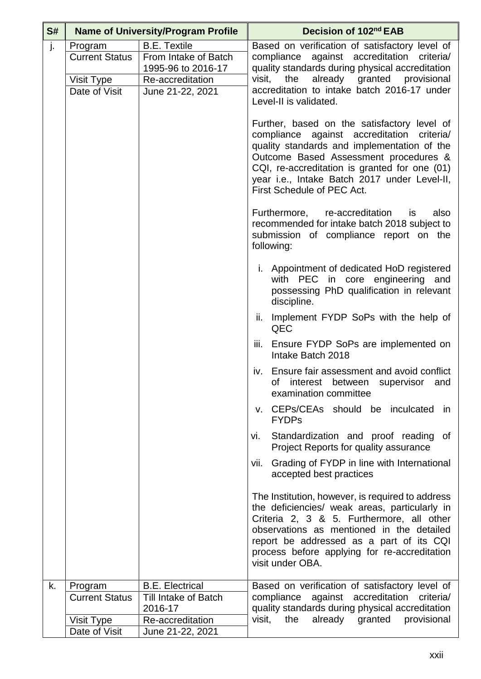| S# |                                                                 | <b>Name of University/Program Profile</b>                                                                 | Decision of 102nd EAB                                                                                                                                                                                                                                                                                            |
|----|-----------------------------------------------------------------|-----------------------------------------------------------------------------------------------------------|------------------------------------------------------------------------------------------------------------------------------------------------------------------------------------------------------------------------------------------------------------------------------------------------------------------|
| j. | Program<br><b>Current Status</b><br>Visit Type<br>Date of Visit | <b>B.E. Textile</b><br>From Intake of Batch<br>1995-96 to 2016-17<br>Re-accreditation<br>June 21-22, 2021 | Based on verification of satisfactory level of<br>compliance against accreditation criteria/<br>quality standards during physical accreditation<br>already granted provisional<br>visit,<br>the<br>accreditation to intake batch 2016-17 under<br>Level-II is validated.                                         |
|    |                                                                 |                                                                                                           | Further, based on the satisfactory level of<br>compliance against accreditation criteria/<br>quality standards and implementation of the<br>Outcome Based Assessment procedures &<br>CQI, re-accreditation is granted for one (01)<br>year i.e., Intake Batch 2017 under Level-II,<br>First Schedule of PEC Act. |
|    |                                                                 |                                                                                                           | also<br>Furthermore, re-accreditation<br>is<br>recommended for intake batch 2018 subject to<br>submission of compliance report on the<br>following:                                                                                                                                                              |
|    |                                                                 |                                                                                                           | i. Appointment of dedicated HoD registered<br>with PEC in core engineering and<br>possessing PhD qualification in relevant<br>discipline.                                                                                                                                                                        |
|    |                                                                 |                                                                                                           | Implement FYDP SoPs with the help of<br>ii.<br>QEC                                                                                                                                                                                                                                                               |
|    |                                                                 |                                                                                                           | Ensure FYDP SoPs are implemented on<br>Ш.<br>Intake Batch 2018                                                                                                                                                                                                                                                   |
|    |                                                                 |                                                                                                           | iv. Ensure fair assessment and avoid conflict<br>of interest between supervisor and<br>examination committee                                                                                                                                                                                                     |
|    |                                                                 |                                                                                                           | v. CEPs/CEAs should be inculcated in<br><b>FYDPs</b>                                                                                                                                                                                                                                                             |
|    |                                                                 |                                                                                                           | Standardization and proof reading of<br>vi.<br>Project Reports for quality assurance                                                                                                                                                                                                                             |
|    |                                                                 |                                                                                                           | Grading of FYDP in line with International<br>vii.<br>accepted best practices                                                                                                                                                                                                                                    |
|    |                                                                 |                                                                                                           | The Institution, however, is required to address<br>the deficiencies/ weak areas, particularly in<br>Criteria 2, 3 & 5. Furthermore, all other<br>observations as mentioned in the detailed<br>report be addressed as a part of its CQI<br>process before applying for re-accreditation<br>visit under OBA.      |
| k. | Program<br><b>Current Status</b>                                | <b>B.E. Electrical</b><br>Till Intake of Batch                                                            | Based on verification of satisfactory level of<br>compliance against accreditation criteria/                                                                                                                                                                                                                     |
|    |                                                                 | 2016-17                                                                                                   | quality standards during physical accreditation<br>already granted provisional<br>visit,<br>the                                                                                                                                                                                                                  |
|    | Visit Type<br>Date of Visit                                     | Re-accreditation<br>June 21-22, 2021                                                                      |                                                                                                                                                                                                                                                                                                                  |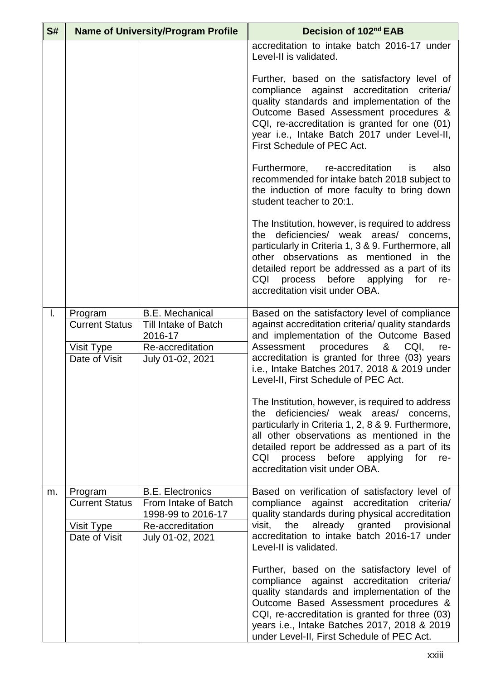| S# | <b>Name of University/Program Profile</b> |                                                                  | Decision of 102 <sup>nd</sup> EAB                                                                                                                                                                                                                                                                                                     |
|----|-------------------------------------------|------------------------------------------------------------------|---------------------------------------------------------------------------------------------------------------------------------------------------------------------------------------------------------------------------------------------------------------------------------------------------------------------------------------|
|    |                                           |                                                                  | accreditation to intake batch 2016-17 under<br>Level-II is validated.                                                                                                                                                                                                                                                                 |
|    |                                           |                                                                  | Further, based on the satisfactory level of<br>compliance against accreditation criteria/<br>quality standards and implementation of the<br>Outcome Based Assessment procedures &<br>CQI, re-accreditation is granted for one (01)<br>year i.e., Intake Batch 2017 under Level-II,<br>First Schedule of PEC Act.                      |
|    |                                           |                                                                  | Furthermore, re-accreditation<br>also<br>is<br>recommended for intake batch 2018 subject to<br>the induction of more faculty to bring down<br>student teacher to 20:1.                                                                                                                                                                |
|    |                                           |                                                                  | The Institution, however, is required to address<br>the deficiencies/ weak areas/ concerns,<br>particularly in Criteria 1, 3 & 9. Furthermore, all<br>other observations as mentioned in the<br>detailed report be addressed as a part of its<br>CQI<br>process before applying for<br>re-<br>accreditation visit under OBA.          |
| Ι. | Program<br><b>Current Status</b>          | <b>B.E. Mechanical</b><br><b>Till Intake of Batch</b><br>2016-17 | Based on the satisfactory level of compliance<br>against accreditation criteria/ quality standards<br>and implementation of the Outcome Based                                                                                                                                                                                         |
|    | Visit Type                                | Re-accreditation                                                 | Assessment procedures & CQI,<br>re-                                                                                                                                                                                                                                                                                                   |
|    | Date of Visit                             | July 01-02, 2021                                                 | accreditation is granted for three (03) years<br>i.e., Intake Batches 2017, 2018 & 2019 under<br>Level-II, First Schedule of PEC Act.                                                                                                                                                                                                 |
|    |                                           |                                                                  | The Institution, however, is required to address<br>the deficiencies/ weak areas/ concerns,<br>particularly in Criteria 1, 2, 8 & 9. Furthermore,<br>all other observations as mentioned in the<br>detailed report be addressed as a part of its<br>CQI<br>process before applying for<br>re-<br>accreditation visit under OBA.       |
| m. | Program                                   | <b>B.E. Electronics</b>                                          | Based on verification of satisfactory level of                                                                                                                                                                                                                                                                                        |
|    | <b>Current Status</b>                     | From Intake of Batch<br>1998-99 to 2016-17                       | compliance<br>against accreditation<br>criteria/<br>quality standards during physical accreditation                                                                                                                                                                                                                                   |
|    | Visit Type                                | Re-accreditation                                                 | the<br>already granted provisional<br>visit,                                                                                                                                                                                                                                                                                          |
|    | Date of Visit                             | July 01-02, 2021                                                 | accreditation to intake batch 2016-17 under<br>Level-II is validated.                                                                                                                                                                                                                                                                 |
|    |                                           |                                                                  | Further, based on the satisfactory level of<br>compliance against accreditation<br>criteria/<br>quality standards and implementation of the<br>Outcome Based Assessment procedures &<br>CQI, re-accreditation is granted for three (03)<br>years i.e., Intake Batches 2017, 2018 & 2019<br>under Level-II, First Schedule of PEC Act. |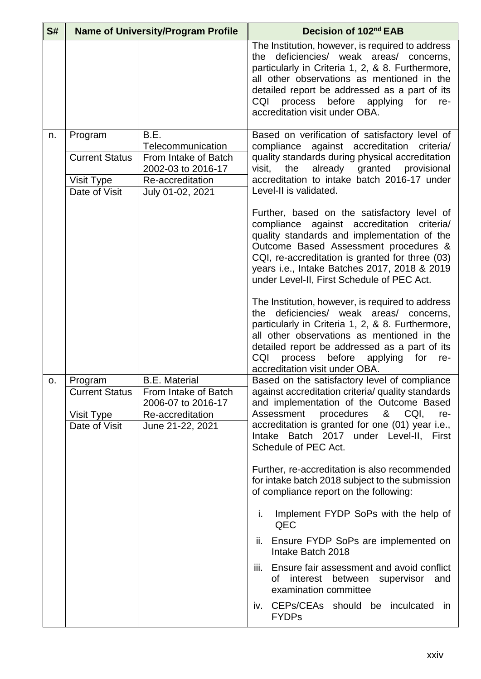| S#             | <b>Name of University/Program Profile</b>                       |                                                                                                                 | Decision of 102nd EAB                                                                                                                                                                                                                                                                                                                  |
|----------------|-----------------------------------------------------------------|-----------------------------------------------------------------------------------------------------------------|----------------------------------------------------------------------------------------------------------------------------------------------------------------------------------------------------------------------------------------------------------------------------------------------------------------------------------------|
|                |                                                                 |                                                                                                                 | The Institution, however, is required to address<br>the deficiencies/ weak areas/ concerns,<br>particularly in Criteria 1, 2, & 8. Furthermore,<br>all other observations as mentioned in the<br>detailed report be addressed as a part of its<br>process before<br>CQI<br>applying<br>for<br>re-<br>accreditation visit under OBA.    |
| n.             | Program<br><b>Current Status</b><br>Visit Type<br>Date of Visit | B.E.<br>Telecommunication<br>From Intake of Batch<br>2002-03 to 2016-17<br>Re-accreditation<br>July 01-02, 2021 | Based on verification of satisfactory level of<br>compliance against accreditation<br>criteria/<br>quality standards during physical accreditation<br>granted<br>already<br>provisional<br>visit,<br>the<br>accreditation to intake batch 2016-17 under<br>Level-II is validated.                                                      |
|                |                                                                 |                                                                                                                 | Further, based on the satisfactory level of<br>compliance against accreditation criteria/<br>quality standards and implementation of the<br>Outcome Based Assessment procedures &<br>CQI, re-accreditation is granted for three (03)<br>years i.e., Intake Batches 2017, 2018 & 2019<br>under Level-II, First Schedule of PEC Act.     |
|                |                                                                 |                                                                                                                 | The Institution, however, is required to address<br>deficiencies/ weak areas/ concerns,<br>the<br>particularly in Criteria 1, 2, & 8. Furthermore,<br>all other observations as mentioned in the<br>detailed report be addressed as a part of its<br>CQI<br>process before<br>for<br>applying<br>re-<br>accreditation visit under OBA. |
| O <sub>1</sub> | Program<br><b>Current Status</b><br>Visit Type<br>Date of Visit | <b>B.E. Material</b><br>From Intake of Batch<br>2006-07 to 2016-17<br>Re-accreditation<br>June 21-22, 2021      | Based on the satisfactory level of compliance<br>against accreditation criteria/ quality standards<br>and implementation of the Outcome Based<br>8 <sub>1</sub><br>Assessment<br>procedures<br>CQI,<br>re-<br>accreditation is granted for one (01) year i.e.,<br>Intake Batch 2017 under Level-II, First<br>Schedule of PEC Act.      |
|                |                                                                 |                                                                                                                 | Further, re-accreditation is also recommended<br>for intake batch 2018 subject to the submission<br>of compliance report on the following:                                                                                                                                                                                             |
|                |                                                                 |                                                                                                                 | Implement FYDP SoPs with the help of<br>i.<br>QEC                                                                                                                                                                                                                                                                                      |
|                |                                                                 |                                                                                                                 | ii. Ensure FYDP SoPs are implemented on<br>Intake Batch 2018                                                                                                                                                                                                                                                                           |
|                |                                                                 |                                                                                                                 | Ensure fair assessment and avoid conflict<br>iii.<br>interest<br>between<br>supervisor<br>οf<br>and<br>examination committee                                                                                                                                                                                                           |
|                |                                                                 |                                                                                                                 | iv. CEPs/CEAs should be inculcated in<br><b>FYDPs</b>                                                                                                                                                                                                                                                                                  |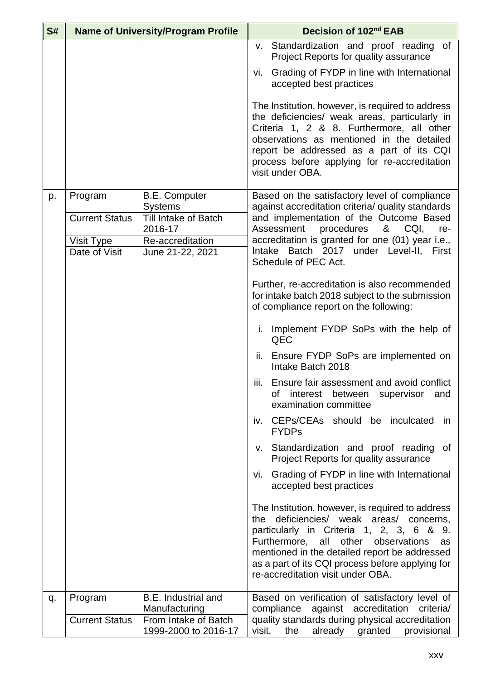| S# |                       | <b>Name of University/Program Profile</b>         | Decision of 102 <sup>nd</sup> EAB                                                                                                                                                                                                                                                                                                 |
|----|-----------------------|---------------------------------------------------|-----------------------------------------------------------------------------------------------------------------------------------------------------------------------------------------------------------------------------------------------------------------------------------------------------------------------------------|
|    |                       |                                                   | v. Standardization and proof reading of<br>Project Reports for quality assurance                                                                                                                                                                                                                                                  |
|    |                       |                                                   | vi. Grading of FYDP in line with International<br>accepted best practices                                                                                                                                                                                                                                                         |
|    |                       |                                                   | The Institution, however, is required to address<br>the deficiencies/ weak areas, particularly in<br>Criteria 1, 2 & 8. Furthermore, all other<br>observations as mentioned in the detailed<br>report be addressed as a part of its CQI<br>process before applying for re-accreditation<br>visit under OBA.                       |
| p. | Program               | <b>B.E. Computer</b>                              | Based on the satisfactory level of compliance                                                                                                                                                                                                                                                                                     |
|    | <b>Current Status</b> | <b>Systems</b><br>Till Intake of Batch<br>2016-17 | against accreditation criteria/ quality standards<br>and implementation of the Outcome Based<br>Assessment<br>procedures & CQI, re-                                                                                                                                                                                               |
|    | Visit Type            | Re-accreditation                                  | accreditation is granted for one (01) year i.e.,                                                                                                                                                                                                                                                                                  |
|    | Date of Visit         | June 21-22, 2021                                  | Intake Batch 2017 under Level-II, First<br>Schedule of PEC Act.                                                                                                                                                                                                                                                                   |
|    |                       |                                                   | Further, re-accreditation is also recommended<br>for intake batch 2018 subject to the submission<br>of compliance report on the following:                                                                                                                                                                                        |
|    |                       |                                                   | i. Implement FYDP SoPs with the help of<br>QEC                                                                                                                                                                                                                                                                                    |
|    |                       |                                                   | Ensure FYDP SoPs are implemented on<br>ii.<br>Intake Batch 2018                                                                                                                                                                                                                                                                   |
|    |                       |                                                   | iii. Ensure fair assessment and avoid conflict<br>of interest between supervisor and<br>examination committee                                                                                                                                                                                                                     |
|    |                       |                                                   | iv. CEPs/CEAs should be inculcated<br>in<br><b>FYDPs</b>                                                                                                                                                                                                                                                                          |
|    |                       |                                                   | v. Standardization and proof reading of<br>Project Reports for quality assurance                                                                                                                                                                                                                                                  |
|    |                       |                                                   | vi. Grading of FYDP in line with International<br>accepted best practices                                                                                                                                                                                                                                                         |
|    |                       |                                                   | The Institution, however, is required to address<br>the deficiencies/ weak areas/ concerns,<br>particularly in Criteria 1, 2, 3, 6 & 9.<br>other observations<br>Furthermore, all<br>as<br>mentioned in the detailed report be addressed<br>as a part of its CQI process before applying for<br>re-accreditation visit under OBA. |
| q. | Program               | <b>B.E.</b> Industrial and                        | Based on verification of satisfactory level of                                                                                                                                                                                                                                                                                    |
|    | <b>Current Status</b> | Manufacturing<br>From Intake of Batch             | compliance against accreditation<br>criteria/<br>quality standards during physical accreditation                                                                                                                                                                                                                                  |
|    |                       | 1999-2000 to 2016-17                              | visit,<br>the<br>already granted provisional                                                                                                                                                                                                                                                                                      |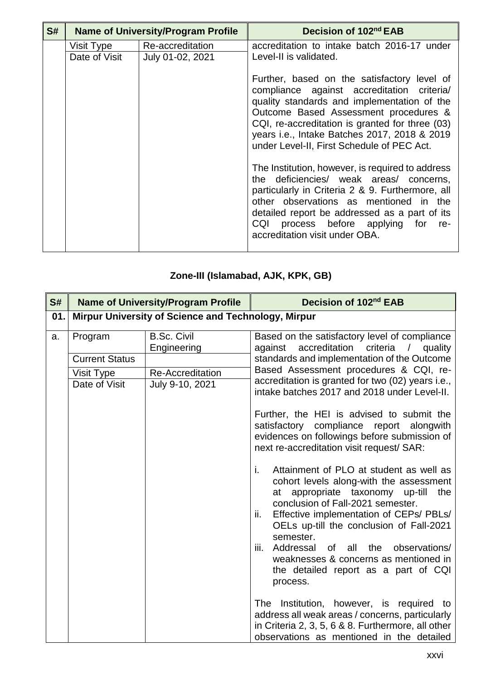| S# | <b>Name of University/Program Profile</b> |                                      | Decision of 102 <sup>nd</sup> EAB                                                                                                                                                                                                                                                                                                  |
|----|-------------------------------------------|--------------------------------------|------------------------------------------------------------------------------------------------------------------------------------------------------------------------------------------------------------------------------------------------------------------------------------------------------------------------------------|
|    | Visit Type<br>Date of Visit               | Re-accreditation<br>July 01-02, 2021 | accreditation to intake batch 2016-17 under<br>Level-II is validated.                                                                                                                                                                                                                                                              |
|    |                                           |                                      | Further, based on the satisfactory level of<br>compliance against accreditation criteria/<br>quality standards and implementation of the<br>Outcome Based Assessment procedures &<br>CQI, re-accreditation is granted for three (03)<br>years i.e., Intake Batches 2017, 2018 & 2019<br>under Level-II, First Schedule of PEC Act. |
|    |                                           |                                      | The Institution, however, is required to address<br>the deficiencies/ weak areas/ concerns,<br>particularly in Criteria 2 & 9. Furthermore, all<br>other observations as mentioned in the<br>detailed report be addressed as a part of its<br>CQI process before applying for re-<br>accreditation visit under OBA.                |

## **Zone-III (Islamabad, AJK, KPK, GB)**

| S#  | <b>Name of University/Program Profile</b> |                                                     | Decision of 102nd EAB                                                                                                                                                                                                                                                                                                                                                                                                      |
|-----|-------------------------------------------|-----------------------------------------------------|----------------------------------------------------------------------------------------------------------------------------------------------------------------------------------------------------------------------------------------------------------------------------------------------------------------------------------------------------------------------------------------------------------------------------|
| 01. |                                           | Mirpur University of Science and Technology, Mirpur |                                                                                                                                                                                                                                                                                                                                                                                                                            |
| a.  | Program                                   | <b>B.Sc. Civil</b><br>Engineering                   | Based on the satisfactory level of compliance<br>accreditation criteria /<br>quality<br>against                                                                                                                                                                                                                                                                                                                            |
|     | <b>Current Status</b>                     |                                                     | standards and implementation of the Outcome                                                                                                                                                                                                                                                                                                                                                                                |
|     | Visit Type                                | Re-Accreditation                                    | Based Assessment procedures & CQI, re-                                                                                                                                                                                                                                                                                                                                                                                     |
|     | Date of Visit                             | July 9-10, 2021                                     | accreditation is granted for two (02) years i.e.,<br>intake batches 2017 and 2018 under Level-II.                                                                                                                                                                                                                                                                                                                          |
|     |                                           |                                                     | Further, the HEI is advised to submit the<br>satisfactory<br>compliance report alongwith<br>evidences on followings before submission of<br>next re-accreditation visit request/ SAR:                                                                                                                                                                                                                                      |
|     |                                           |                                                     | i.<br>Attainment of PLO at student as well as<br>cohort levels along-with the assessment<br>at appropriate taxonomy up-till the<br>conclusion of Fall-2021 semester.<br>Effective implementation of CEPs/ PBLs/<br>ii.<br>OELs up-till the conclusion of Fall-2021<br>semester.<br>Addressal of all the observations/<br>iii.<br>weaknesses & concerns as mentioned in<br>the detailed report as a part of CQI<br>process. |
|     |                                           |                                                     | The Institution, however, is required to<br>address all weak areas / concerns, particularly<br>in Criteria 2, 3, 5, 6 & 8. Furthermore, all other<br>observations as mentioned in the detailed                                                                                                                                                                                                                             |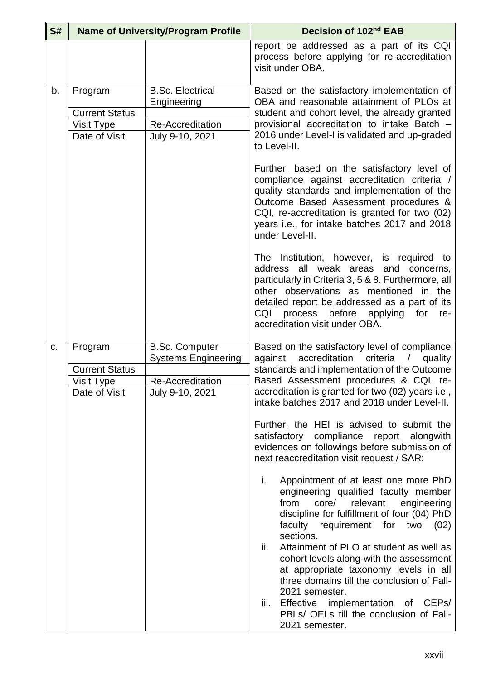| S# |                                                                 | <b>Name of University/Program Profile</b>                                     | Decision of 102 <sup>nd</sup> EAB                                                                                                                                                                                                                                                                                                                                                                                                       |
|----|-----------------------------------------------------------------|-------------------------------------------------------------------------------|-----------------------------------------------------------------------------------------------------------------------------------------------------------------------------------------------------------------------------------------------------------------------------------------------------------------------------------------------------------------------------------------------------------------------------------------|
|    |                                                                 |                                                                               | report be addressed as a part of its CQI<br>process before applying for re-accreditation<br>visit under OBA.                                                                                                                                                                                                                                                                                                                            |
| b. | Program<br><b>Current Status</b><br>Visit Type<br>Date of Visit | <b>B.Sc. Electrical</b><br>Engineering<br>Re-Accreditation<br>July 9-10, 2021 | Based on the satisfactory implementation of<br>OBA and reasonable attainment of PLOs at<br>student and cohort level, the already granted<br>provisional accreditation to intake Batch -<br>2016 under Level-I is validated and up-graded<br>to Level-II.<br>Further, based on the satisfactory level of                                                                                                                                 |
|    |                                                                 |                                                                               | compliance against accreditation criteria /<br>quality standards and implementation of the<br>Outcome Based Assessment procedures &<br>CQI, re-accreditation is granted for two (02)<br>years i.e., for intake batches 2017 and 2018<br>under Level-II.                                                                                                                                                                                 |
|    |                                                                 |                                                                               | The Institution, however, is required to<br>address all weak areas and concerns,<br>particularly in Criteria 3, 5 & 8. Furthermore, all<br>other observations as mentioned in the<br>detailed report be addressed as a part of its<br>before<br>CQI<br>process<br>applying<br>for<br>re-<br>accreditation visit under OBA.                                                                                                              |
| c. | Program                                                         | <b>B.Sc. Computer</b><br><b>Systems Engineering</b>                           | Based on the satisfactory level of compliance<br>accreditation<br>criteria<br>against<br>$\sqrt{2}$<br>quality                                                                                                                                                                                                                                                                                                                          |
|    | <b>Current Status</b>                                           |                                                                               | standards and implementation of the Outcome                                                                                                                                                                                                                                                                                                                                                                                             |
|    | Visit Type<br>Date of Visit                                     | Re-Accreditation<br>July 9-10, 2021                                           | Based Assessment procedures & CQI, re-<br>accreditation is granted for two (02) years i.e.,<br>intake batches 2017 and 2018 under Level-II.                                                                                                                                                                                                                                                                                             |
|    |                                                                 |                                                                               | Further, the HEI is advised to submit the<br>satisfactory<br>compliance<br>report alongwith<br>evidences on followings before submission of<br>next reaccreditation visit request / SAR:                                                                                                                                                                                                                                                |
|    |                                                                 |                                                                               | Appointment of at least one more PhD<br>i.<br>engineering qualified faculty member<br>from<br>core/<br>relevant<br>engineering<br>discipline for fulfillment of four (04) PhD<br>faculty requirement for two<br>(02)<br>sections.<br>ii.<br>Attainment of PLO at student as well as<br>cohort levels along-with the assessment<br>at appropriate taxonomy levels in all<br>three domains till the conclusion of Fall-<br>2021 semester. |
|    |                                                                 |                                                                               | Effective implementation of CEPs/<br>iii.<br>PBLs/ OELs till the conclusion of Fall-<br>2021 semester.                                                                                                                                                                                                                                                                                                                                  |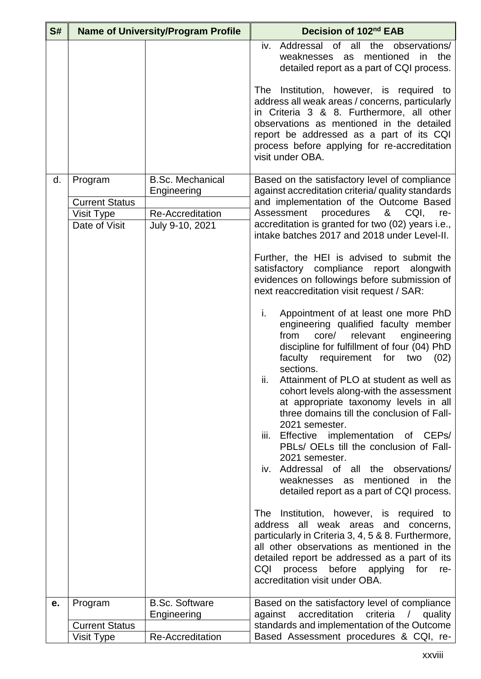| S# |                       | <b>Name of University/Program Profile</b> | Decision of 102nd EAB                                                                                                                                                                                                                                                                                                                |
|----|-----------------------|-------------------------------------------|--------------------------------------------------------------------------------------------------------------------------------------------------------------------------------------------------------------------------------------------------------------------------------------------------------------------------------------|
|    |                       |                                           | iv. Addressal of all<br>the<br>observations/<br>the<br>as mentioned<br>in<br>weaknesses<br>detailed report as a part of CQI process.<br>The Institution, however, is required to                                                                                                                                                     |
|    |                       |                                           | address all weak areas / concerns, particularly<br>in Criteria 3 & 8. Furthermore, all other<br>observations as mentioned in the detailed<br>report be addressed as a part of its CQI<br>process before applying for re-accreditation<br>visit under OBA.                                                                            |
| d. | Program               | <b>B.Sc. Mechanical</b><br>Engineering    | Based on the satisfactory level of compliance<br>against accreditation criteria/ quality standards                                                                                                                                                                                                                                   |
|    | <b>Current Status</b> |                                           | and implementation of the Outcome Based                                                                                                                                                                                                                                                                                              |
|    | <b>Visit Type</b>     | Re-Accreditation                          | Assessment<br>procedures<br>&<br>CQI,<br>re-                                                                                                                                                                                                                                                                                         |
|    | Date of Visit         | July 9-10, 2021                           | accreditation is granted for two (02) years i.e.,<br>intake batches 2017 and 2018 under Level-II.                                                                                                                                                                                                                                    |
|    |                       |                                           | Further, the HEI is advised to submit the<br>satisfactory compliance report alongwith<br>evidences on followings before submission of<br>next reaccreditation visit request / SAR:                                                                                                                                                   |
|    |                       |                                           | i.<br>Appointment of at least one more PhD<br>engineering qualified faculty member<br>relevant<br>from<br>core/<br>engineering<br>discipline for fulfillment of four (04) PhD<br>faculty requirement for two<br>(02)<br>sections.<br>ii.<br>Attainment of PLO at student as well as                                                  |
|    |                       |                                           | cohort levels along-with the assessment<br>at appropriate taxonomy levels in all<br>three domains till the conclusion of Fall-<br>2021 semester.                                                                                                                                                                                     |
|    |                       |                                           | Effective implementation of CEPs/<br>iii.<br>PBLs/ OELs till the conclusion of Fall-<br>2021 semester.                                                                                                                                                                                                                               |
|    |                       |                                           | Addressal of all the observations/<br>iv.<br>mentioned<br>the<br>weaknesses<br>in<br>as<br>detailed report as a part of CQI process.                                                                                                                                                                                                 |
|    |                       |                                           | Institution, however, is required to<br><b>The</b><br>address all weak areas and<br>concerns,<br>particularly in Criteria 3, 4, 5 & 8. Furthermore,<br>all other observations as mentioned in the<br>detailed report be addressed as a part of its<br>process before<br>CQI<br>applying for<br>re-<br>accreditation visit under OBA. |
| е. | Program               | <b>B.Sc. Software</b>                     | Based on the satisfactory level of compliance                                                                                                                                                                                                                                                                                        |
|    |                       | Engineering                               | accreditation<br>criteria<br>against<br>$\sqrt{2}$<br>quality                                                                                                                                                                                                                                                                        |
|    | <b>Current Status</b> |                                           | standards and implementation of the Outcome                                                                                                                                                                                                                                                                                          |
|    | Visit Type            | Re-Accreditation                          | Based Assessment procedures & CQI, re-                                                                                                                                                                                                                                                                                               |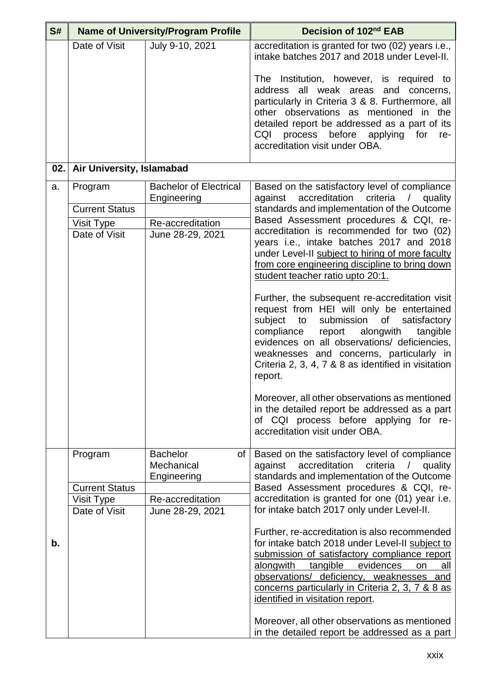| S#  |                             | <b>Name of University/Program Profile</b>          | Decision of 102 <sup>nd</sup> EAB                                                                                                                                                                                                                                                                                                                         |
|-----|-----------------------------|----------------------------------------------------|-----------------------------------------------------------------------------------------------------------------------------------------------------------------------------------------------------------------------------------------------------------------------------------------------------------------------------------------------------------|
|     | Date of Visit               | July 9-10, 2021                                    | accreditation is granted for two (02) years i.e.,<br>intake batches 2017 and 2018 under Level-II.                                                                                                                                                                                                                                                         |
|     |                             |                                                    | The Institution, however, is required to<br>address all weak areas and concerns,<br>particularly in Criteria 3 & 8. Furthermore, all<br>other observations as mentioned in the<br>detailed report be addressed as a part of its<br>CQI<br>process before applying<br>for<br>re-<br>accreditation visit under OBA.                                         |
| 02. | Air University, Islamabad   |                                                    |                                                                                                                                                                                                                                                                                                                                                           |
| a.  | Program                     | <b>Bachelor of Electrical</b><br>Engineering       | Based on the satisfactory level of compliance<br>against<br>accreditation<br>criteria<br>/ quality                                                                                                                                                                                                                                                        |
|     | <b>Current Status</b>       |                                                    | standards and implementation of the Outcome                                                                                                                                                                                                                                                                                                               |
|     | Visit Type                  | Re-accreditation                                   | Based Assessment procedures & CQI, re-<br>accreditation is recommended for two (02)                                                                                                                                                                                                                                                                       |
|     | Date of Visit               | June 28-29, 2021                                   | years i.e., intake batches 2017 and 2018<br>under Level-II subject to hiring of more faculty<br>from core engineering discipline to bring down<br>student teacher ratio upto 20:1.                                                                                                                                                                        |
|     |                             |                                                    | Further, the subsequent re-accreditation visit<br>request from HEI will only be entertained<br>submission<br>subject to<br>of<br>satisfactory<br>compliance<br>report alongwith<br>tangible<br>evidences on all observations/ deficiencies,<br>weaknesses and concerns, particularly in<br>Criteria 2, 3, 4, 7 & 8 as identified in visitation<br>report. |
|     |                             |                                                    | Moreover, all other observations as mentioned<br>in the detailed report be addressed as a part<br>of CQI process before applying for re-<br>accreditation visit under OBA.                                                                                                                                                                                |
|     | Program                     | <b>Bachelor</b><br>of<br>Mechanical<br>Engineering | Based on the satisfactory level of compliance<br>accreditation<br>criteria<br>against<br>quality<br>standards and implementation of the Outcome                                                                                                                                                                                                           |
|     | <b>Current Status</b>       |                                                    | Based Assessment procedures & CQI, re-                                                                                                                                                                                                                                                                                                                    |
|     | Visit Type<br>Date of Visit | Re-accreditation<br>June 28-29, 2021               | accreditation is granted for one (01) year i.e.<br>for intake batch 2017 only under Level-II.                                                                                                                                                                                                                                                             |
| b.  |                             |                                                    | Further, re-accreditation is also recommended<br>for intake batch 2018 under Level-II subject to<br>submission of satisfactory compliance report<br>evidences<br>alongwith<br>tangible<br>on<br>all<br>observations/ deficiency, weaknesses and<br>concerns particularly in Criteria 2, 3, 7 & 8 as<br>identified in visitation report.                   |
|     |                             |                                                    | Moreover, all other observations as mentioned<br>in the detailed report be addressed as a part                                                                                                                                                                                                                                                            |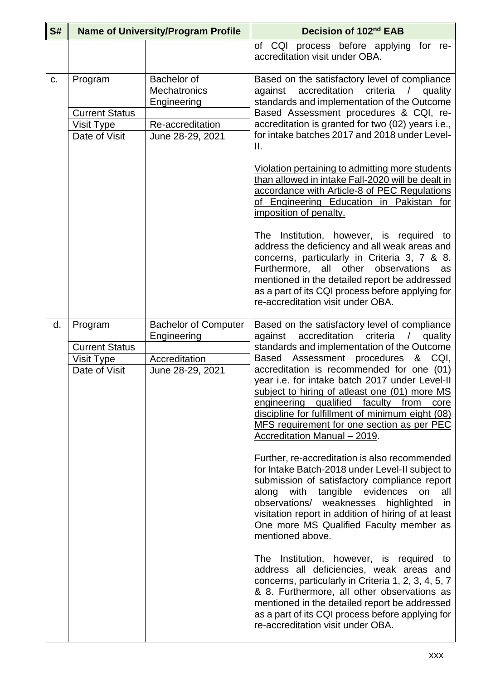| S# |                                   | <b>Name of University/Program Profile</b>                                                                                                                                                                                                                                                                                 | Decision of 102 <sup>nd</sup> EAB                                                                                                                                                                                                                                                                                                                                              |
|----|-----------------------------------|---------------------------------------------------------------------------------------------------------------------------------------------------------------------------------------------------------------------------------------------------------------------------------------------------------------------------|--------------------------------------------------------------------------------------------------------------------------------------------------------------------------------------------------------------------------------------------------------------------------------------------------------------------------------------------------------------------------------|
|    |                                   |                                                                                                                                                                                                                                                                                                                           | of CQI process before applying for re-<br>accreditation visit under OBA.                                                                                                                                                                                                                                                                                                       |
| C. | Program                           | Bachelor of<br><b>Mechatronics</b><br>Engineering                                                                                                                                                                                                                                                                         | Based on the satisfactory level of compliance<br>accreditation<br>criteria / quality<br>against<br>standards and implementation of the Outcome                                                                                                                                                                                                                                 |
|    | <b>Current Status</b>             |                                                                                                                                                                                                                                                                                                                           | Based Assessment procedures & CQI, re-                                                                                                                                                                                                                                                                                                                                         |
|    | Visit Type<br>Date of Visit       | Re-accreditation<br>June 28-29, 2021                                                                                                                                                                                                                                                                                      | accreditation is granted for two (02) years i.e.,<br>for intake batches 2017 and 2018 under Level-                                                                                                                                                                                                                                                                             |
|    |                                   |                                                                                                                                                                                                                                                                                                                           | $\mathbf{II}$ .                                                                                                                                                                                                                                                                                                                                                                |
|    |                                   |                                                                                                                                                                                                                                                                                                                           | Violation pertaining to admitting more students<br>than allowed in intake Fall-2020 will be dealt in<br>accordance with Article-8 of PEC Regulations<br>of Engineering Education in Pakistan for<br>imposition of penalty.                                                                                                                                                     |
|    |                                   |                                                                                                                                                                                                                                                                                                                           | The Institution, however, is required to<br>address the deficiency and all weak areas and<br>concerns, particularly in Criteria 3, 7 & 8.<br>Furthermore, all other observations<br>as<br>mentioned in the detailed report be addressed<br>as a part of its CQI process before applying for<br>re-accreditation visit under OBA.                                               |
| d. | Program                           | <b>Bachelor of Computer</b>                                                                                                                                                                                                                                                                                               | Based on the satisfactory level of compliance                                                                                                                                                                                                                                                                                                                                  |
|    | <b>Current Status</b>             | Engineering                                                                                                                                                                                                                                                                                                               | accreditation<br>against<br>criteria<br>quality<br>$\sqrt{2}$<br>standards and implementation of the Outcome                                                                                                                                                                                                                                                                   |
|    | <b>Visit Type</b>                 | Accreditation                                                                                                                                                                                                                                                                                                             | Based Assessment procedures<br>&<br>CQI,                                                                                                                                                                                                                                                                                                                                       |
|    | Date of Visit<br>June 28-29, 2021 | accreditation is recommended for one (01)<br>year i.e. for intake batch 2017 under Level-II<br>subject to hiring of atleast one (01) more MS<br>engineering qualified faculty from core<br>discipline for fulfillment of minimum eight (08)<br>MFS requirement for one section as per PEC<br>Accreditation Manual - 2019. |                                                                                                                                                                                                                                                                                                                                                                                |
|    |                                   |                                                                                                                                                                                                                                                                                                                           | Further, re-accreditation is also recommended<br>for Intake Batch-2018 under Level-II subject to<br>submission of satisfactory compliance report<br>tangible evidences<br>along<br>with<br>on<br>all<br>observations/<br>weaknesses<br>highlighted<br>in<br>visitation report in addition of hiring of at least<br>One more MS Qualified Faculty member as<br>mentioned above. |
|    |                                   |                                                                                                                                                                                                                                                                                                                           | The Institution, however, is required to<br>address all deficiencies, weak areas and<br>concerns, particularly in Criteria 1, 2, 3, 4, 5, 7<br>& 8. Furthermore, all other observations as<br>mentioned in the detailed report be addressed<br>as a part of its CQI process before applying for<br>re-accreditation visit under OBA.                                           |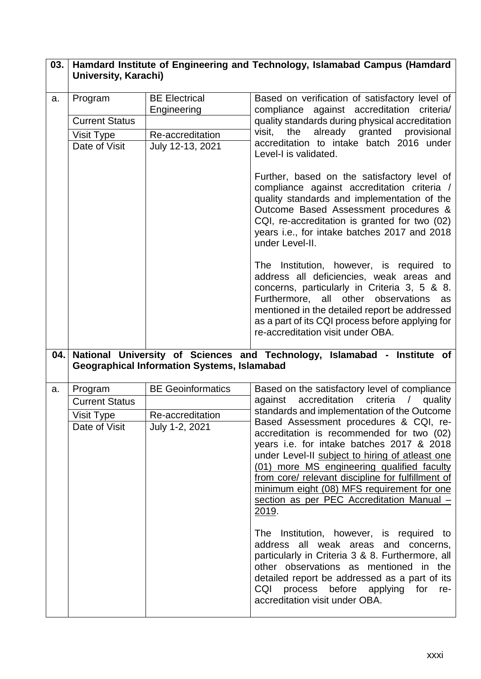| 03. | <b>University, Karachi)</b>                                     |                                                                             | Hamdard Institute of Engineering and Technology, Islamabad Campus (Hamdard                                                                                                                                                                                                                                                                                                                                                                                                                                                                                                                                                                                                                                                                                                                                                                                  |
|-----|-----------------------------------------------------------------|-----------------------------------------------------------------------------|-------------------------------------------------------------------------------------------------------------------------------------------------------------------------------------------------------------------------------------------------------------------------------------------------------------------------------------------------------------------------------------------------------------------------------------------------------------------------------------------------------------------------------------------------------------------------------------------------------------------------------------------------------------------------------------------------------------------------------------------------------------------------------------------------------------------------------------------------------------|
| a.  | Program<br><b>Current Status</b><br>Visit Type<br>Date of Visit | <b>BE Electrical</b><br>Engineering<br>Re-accreditation<br>July 12-13, 2021 | Based on verification of satisfactory level of<br>compliance against accreditation criteria/<br>quality standards during physical accreditation<br>already granted provisional<br>the<br>visit,<br>accreditation to intake batch 2016 under<br>Level-I is validated.                                                                                                                                                                                                                                                                                                                                                                                                                                                                                                                                                                                        |
|     |                                                                 |                                                                             | Further, based on the satisfactory level of<br>compliance against accreditation criteria /<br>quality standards and implementation of the<br>Outcome Based Assessment procedures &<br>CQI, re-accreditation is granted for two (02)<br>years i.e., for intake batches 2017 and 2018<br>under Level-II.                                                                                                                                                                                                                                                                                                                                                                                                                                                                                                                                                      |
|     |                                                                 |                                                                             | The Institution, however, is required to<br>address all deficiencies, weak areas and<br>concerns, particularly in Criteria 3, 5 & 8.<br>Furthermore, all other<br>observations<br>as<br>mentioned in the detailed report be addressed<br>as a part of its CQI process before applying for<br>re-accreditation visit under OBA.                                                                                                                                                                                                                                                                                                                                                                                                                                                                                                                              |
| 04. |                                                                 | <b>Geographical Information Systems, Islamabad</b>                          | National University of Sciences and Technology, Islamabad - Institute of                                                                                                                                                                                                                                                                                                                                                                                                                                                                                                                                                                                                                                                                                                                                                                                    |
| a.  | Program<br><b>Current Status</b><br>Visit Type<br>Date of Visit | <b>BE Geoinformatics</b><br>Re-accreditation<br>July 1-2, 2021              | Based on the satisfactory level of compliance<br>against accreditation<br>criteria / quality<br>standards and implementation of the Outcome<br>Based Assessment procedures & CQI, re-<br>accreditation is recommended for two (02)<br>years i.e. for intake batches 2017 & 2018<br>under Level-II subject to hiring of atleast one<br>(01) more MS engineering qualified faculty<br>from core/ relevant discipline for fulfillment of<br>minimum eight (08) MFS requirement for one<br>section as per PEC Accreditation Manual -<br>2019.<br>The Institution, however, is required to<br>address all weak areas and concerns,<br>particularly in Criteria 3 & 8. Furthermore, all<br>other observations as mentioned in the<br>detailed report be addressed as a part of its<br>CQI<br>process before applying for<br>re-<br>accreditation visit under OBA. |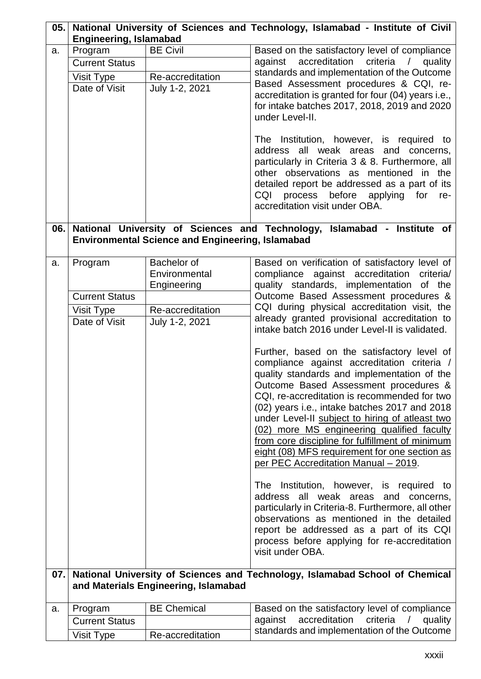| 05. |                                                                                                  |                                                                                   | National University of Sciences and Technology, Islamabad - Institute of Civil                                                                                                                                                                                                                                                                                                                                                                                                                                                                                                                                                                                                                                                                                                                                                                                                                                                                                                                                                                                                                                                                                                    |
|-----|--------------------------------------------------------------------------------------------------|-----------------------------------------------------------------------------------|-----------------------------------------------------------------------------------------------------------------------------------------------------------------------------------------------------------------------------------------------------------------------------------------------------------------------------------------------------------------------------------------------------------------------------------------------------------------------------------------------------------------------------------------------------------------------------------------------------------------------------------------------------------------------------------------------------------------------------------------------------------------------------------------------------------------------------------------------------------------------------------------------------------------------------------------------------------------------------------------------------------------------------------------------------------------------------------------------------------------------------------------------------------------------------------|
| a.  | <b>Engineering, Islamabad</b><br>Program<br><b>Current Status</b><br>Visit Type<br>Date of Visit | <b>BE Civil</b><br>Re-accreditation<br>July 1-2, 2021                             | Based on the satisfactory level of compliance<br>accreditation<br>against<br>criteria<br>/ quality<br>standards and implementation of the Outcome<br>Based Assessment procedures & CQI, re-<br>accreditation is granted for four (04) years i.e.,<br>for intake batches 2017, 2018, 2019 and 2020<br>under Level-II.<br>The Institution, however, is required to<br>address all weak areas and concerns,<br>particularly in Criteria 3 & 8. Furthermore, all<br>other observations as mentioned in the<br>detailed report be addressed as a part of its<br>process before applying for<br>CQI<br>re-<br>accreditation visit under OBA.                                                                                                                                                                                                                                                                                                                                                                                                                                                                                                                                            |
| 06. |                                                                                                  | <b>Environmental Science and Engineering, Islamabad</b>                           | National University of Sciences and Technology, Islamabad - Institute of                                                                                                                                                                                                                                                                                                                                                                                                                                                                                                                                                                                                                                                                                                                                                                                                                                                                                                                                                                                                                                                                                                          |
| a.  | Program<br><b>Current Status</b><br>Visit Type<br>Date of Visit                                  | Bachelor of<br>Environmental<br>Engineering<br>Re-accreditation<br>July 1-2, 2021 | Based on verification of satisfactory level of<br>compliance against accreditation criteria/<br>quality standards, implementation of the<br>Outcome Based Assessment procedures &<br>CQI during physical accreditation visit, the<br>already granted provisional accreditation to<br>intake batch 2016 under Level-II is validated.<br>Further, based on the satisfactory level of<br>compliance against accreditation criteria /<br>quality standards and implementation of the<br>Outcome Based Assessment procedures &<br>CQI, re-accreditation is recommended for two<br>(02) years i.e., intake batches 2017 and 2018<br>under Level-II subject to hiring of atleast two<br>(02) more MS engineering qualified faculty<br>from core discipline for fulfillment of minimum<br>eight (08) MFS requirement for one section as<br>per PEC Accreditation Manual - 2019.<br>Institution, however, is required to<br>The<br>address all weak areas and concerns,<br>particularly in Criteria-8. Furthermore, all other<br>observations as mentioned in the detailed<br>report be addressed as a part of its CQI<br>process before applying for re-accreditation<br>visit under OBA. |
| 07. |                                                                                                  | and Materials Engineering, Islamabad                                              | National University of Sciences and Technology, Islamabad School of Chemical                                                                                                                                                                                                                                                                                                                                                                                                                                                                                                                                                                                                                                                                                                                                                                                                                                                                                                                                                                                                                                                                                                      |
| a.  | Program                                                                                          | <b>BE Chemical</b>                                                                | Based on the satisfactory level of compliance                                                                                                                                                                                                                                                                                                                                                                                                                                                                                                                                                                                                                                                                                                                                                                                                                                                                                                                                                                                                                                                                                                                                     |
|     | <b>Current Status</b>                                                                            |                                                                                   | accreditation criteria /<br>against<br>quality                                                                                                                                                                                                                                                                                                                                                                                                                                                                                                                                                                                                                                                                                                                                                                                                                                                                                                                                                                                                                                                                                                                                    |
|     | Visit Type                                                                                       | Re-accreditation                                                                  | standards and implementation of the Outcome                                                                                                                                                                                                                                                                                                                                                                                                                                                                                                                                                                                                                                                                                                                                                                                                                                                                                                                                                                                                                                                                                                                                       |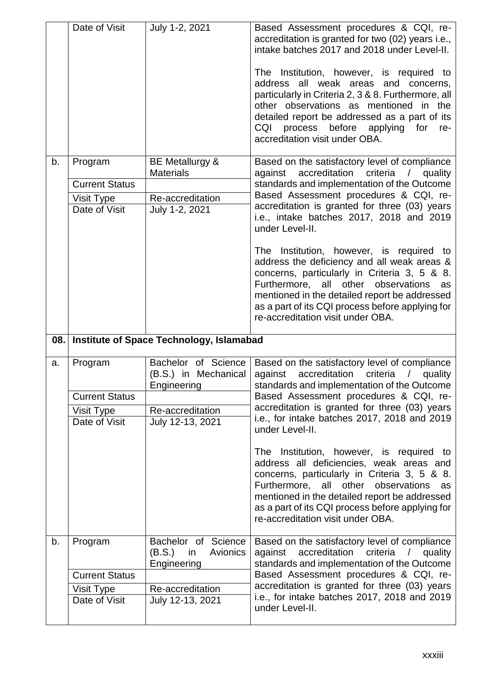|    | Date of Visit               | July 1-2, 2021                                                 | Based Assessment procedures & CQI, re-<br>accreditation is granted for two (02) years i.e.,<br>intake batches 2017 and 2018 under Level-II.                                                                                                                                                                                    |
|----|-----------------------------|----------------------------------------------------------------|--------------------------------------------------------------------------------------------------------------------------------------------------------------------------------------------------------------------------------------------------------------------------------------------------------------------------------|
|    |                             |                                                                | The Institution, however, is required to<br>address all weak areas and concerns,<br>particularly in Criteria 2, 3 & 8. Furthermore, all<br>other observations as mentioned in the<br>detailed report be addressed as a part of its<br>CQI process<br>before<br>applying<br>for<br>re-<br>accreditation visit under OBA.        |
| b. | Program                     | BE Metallurgy &<br><b>Materials</b>                            | Based on the satisfactory level of compliance<br>accreditation criteria<br>against<br>/ quality                                                                                                                                                                                                                                |
|    | <b>Current Status</b>       |                                                                | standards and implementation of the Outcome                                                                                                                                                                                                                                                                                    |
|    | Visit Type                  | Re-accreditation                                               | Based Assessment procedures & CQI, re-                                                                                                                                                                                                                                                                                         |
|    | Date of Visit               | July 1-2, 2021                                                 | accreditation is granted for three (03) years<br>i.e., intake batches 2017, 2018 and 2019<br>under Level-II.                                                                                                                                                                                                                   |
|    |                             |                                                                | The Institution, however, is required to<br>address the deficiency and all weak areas &<br>concerns, particularly in Criteria 3, 5 & 8.<br>Furthermore, all other observations<br>as<br>mentioned in the detailed report be addressed<br>as a part of its CQI process before applying for<br>re-accreditation visit under OBA. |
|    |                             |                                                                |                                                                                                                                                                                                                                                                                                                                |
|    |                             | 08. Institute of Space Technology, Islamabad                   |                                                                                                                                                                                                                                                                                                                                |
| a. | Program                     | Bachelor of Science<br>(B.S.) in Mechanical<br>Engineering     | Based on the satisfactory level of compliance<br>against accreditation criteria / quality<br>standards and implementation of the Outcome                                                                                                                                                                                       |
|    | <b>Current Status</b>       |                                                                | Based Assessment procedures & CQI, re-                                                                                                                                                                                                                                                                                         |
|    | Visit Type                  | Re-accreditation                                               | accreditation is granted for three (03) years                                                                                                                                                                                                                                                                                  |
|    | Date of Visit               | July 12-13, 2021                                               | i.e., for intake batches 2017, 2018 and 2019<br>under Level-II.                                                                                                                                                                                                                                                                |
|    |                             |                                                                | The Institution, however, is required to<br>address all deficiencies, weak areas and<br>concerns, particularly in Criteria 3, 5 & 8.<br>Furthermore, all other observations as<br>mentioned in the detailed report be addressed<br>as a part of its CQI process before applying for<br>re-accreditation visit under OBA.       |
| b. | Program                     | Bachelor of Science<br>(B.S.)<br>Avionics<br>in<br>Engineering | Based on the satisfactory level of compliance<br>against accreditation criteria / quality<br>standards and implementation of the Outcome                                                                                                                                                                                       |
|    | <b>Current Status</b>       |                                                                | Based Assessment procedures & CQI, re-                                                                                                                                                                                                                                                                                         |
|    | Visit Type<br>Date of Visit | Re-accreditation<br>July 12-13, 2021                           | accreditation is granted for three (03) years<br>i.e., for intake batches 2017, 2018 and 2019                                                                                                                                                                                                                                  |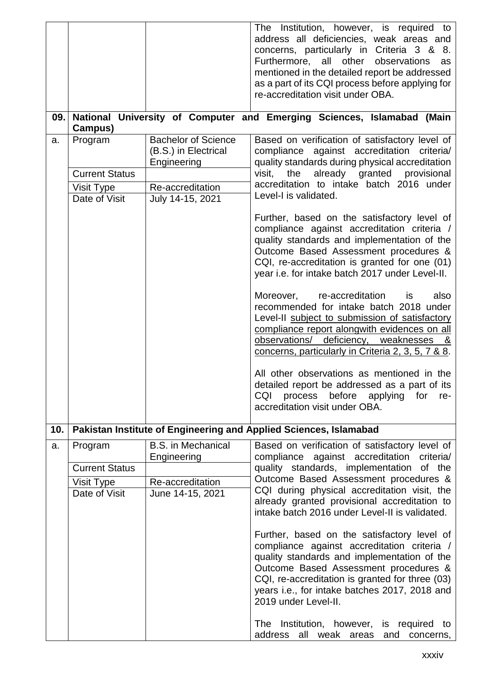|     |                             |                                          | The Institution, however, is required to<br>address all deficiencies, weak areas and<br>concerns, particularly in Criteria 3 & 8.<br>Furthermore, all other<br>observations<br>as<br>mentioned in the detailed report be addressed                                                                                                                                            |
|-----|-----------------------------|------------------------------------------|-------------------------------------------------------------------------------------------------------------------------------------------------------------------------------------------------------------------------------------------------------------------------------------------------------------------------------------------------------------------------------|
|     |                             |                                          | as a part of its CQI process before applying for<br>re-accreditation visit under OBA.                                                                                                                                                                                                                                                                                         |
| 09. |                             |                                          | National University of Computer and Emerging Sciences, Islamabad (Main                                                                                                                                                                                                                                                                                                        |
| a.  | Campus)<br>Program          | <b>Bachelor of Science</b>               | Based on verification of satisfactory level of                                                                                                                                                                                                                                                                                                                                |
|     |                             | (B.S.) in Electrical                     | compliance against accreditation criteria/                                                                                                                                                                                                                                                                                                                                    |
|     |                             | Engineering                              | quality standards during physical accreditation                                                                                                                                                                                                                                                                                                                               |
|     | <b>Current Status</b>       |                                          | already granted provisional<br>visit,<br>the                                                                                                                                                                                                                                                                                                                                  |
|     | Visit Type                  | Re-accreditation                         | accreditation to intake batch 2016 under<br>Level-I is validated.                                                                                                                                                                                                                                                                                                             |
|     | Date of Visit               | July 14-15, 2021                         |                                                                                                                                                                                                                                                                                                                                                                               |
|     |                             |                                          | Further, based on the satisfactory level of<br>compliance against accreditation criteria /<br>quality standards and implementation of the<br>Outcome Based Assessment procedures &<br>CQI, re-accreditation is granted for one (01)<br>year i.e. for intake batch 2017 under Level-II.<br>Moreover, re-accreditation<br>also<br>is<br>recommended for intake batch 2018 under |
|     |                             |                                          | Level-II subject to submission of satisfactory<br>compliance report alongwith evidences on all<br>observations/ deficiency, weaknesses &<br>concerns, particularly in Criteria 2, 3, 5, 7 & 8.                                                                                                                                                                                |
|     |                             |                                          | All other observations as mentioned in the<br>detailed report be addressed as a part of its<br>CQI<br>before<br>process<br>applying<br>for<br>re-<br>accreditation visit under OBA.                                                                                                                                                                                           |
| 10. |                             |                                          | Pakistan Institute of Engineering and Applied Sciences, Islamabad                                                                                                                                                                                                                                                                                                             |
| a.  | Program                     | <b>B.S.</b> in Mechanical<br>Engineering | Based on verification of satisfactory level of<br>compliance against accreditation<br>criteria/                                                                                                                                                                                                                                                                               |
|     | <b>Current Status</b>       |                                          | quality standards, implementation of the<br>Outcome Based Assessment procedures &                                                                                                                                                                                                                                                                                             |
|     | Visit Type<br>Date of Visit | Re-accreditation<br>June 14-15, 2021     | CQI during physical accreditation visit, the                                                                                                                                                                                                                                                                                                                                  |
|     |                             |                                          | already granted provisional accreditation to<br>intake batch 2016 under Level-II is validated.                                                                                                                                                                                                                                                                                |
|     |                             |                                          | Further, based on the satisfactory level of<br>compliance against accreditation criteria /<br>quality standards and implementation of the<br>Outcome Based Assessment procedures &<br>CQI, re-accreditation is granted for three (03)<br>years i.e., for intake batches 2017, 2018 and<br>2019 under Level-II.                                                                |
|     |                             |                                          | The Institution, however, is required<br>to<br>address all weak areas and concerns,                                                                                                                                                                                                                                                                                           |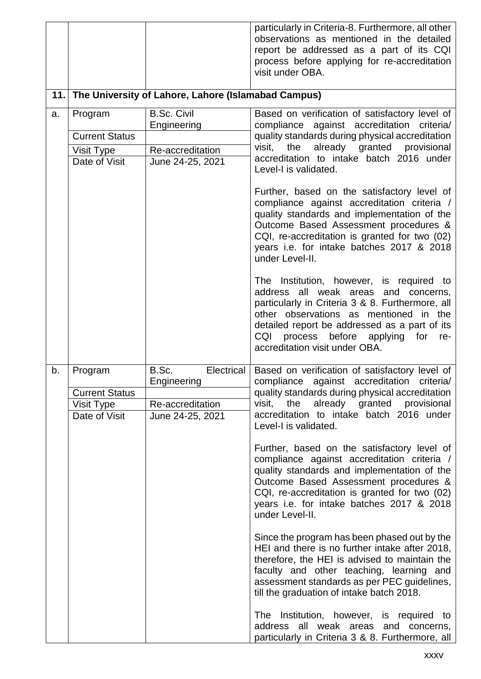|     |                                                                 |                                                                            | particularly in Criteria-8. Furthermore, all other<br>observations as mentioned in the detailed<br>report be addressed as a part of its CQI<br>process before applying for re-accreditation<br>visit under OBA.                                                                                                                                                                                                                                                                                                                                                                                                                                                                                                                                                                                                                                                                                                                                                                                                |
|-----|-----------------------------------------------------------------|----------------------------------------------------------------------------|----------------------------------------------------------------------------------------------------------------------------------------------------------------------------------------------------------------------------------------------------------------------------------------------------------------------------------------------------------------------------------------------------------------------------------------------------------------------------------------------------------------------------------------------------------------------------------------------------------------------------------------------------------------------------------------------------------------------------------------------------------------------------------------------------------------------------------------------------------------------------------------------------------------------------------------------------------------------------------------------------------------|
| 11. |                                                                 | The University of Lahore, Lahore (Islamabad Campus)                        |                                                                                                                                                                                                                                                                                                                                                                                                                                                                                                                                                                                                                                                                                                                                                                                                                                                                                                                                                                                                                |
| a.  | Program<br><b>Current Status</b><br>Visit Type<br>Date of Visit | <b>B.Sc. Civil</b><br>Engineering<br>Re-accreditation<br>June 24-25, 2021  | Based on verification of satisfactory level of<br>compliance against accreditation criteria/<br>quality standards during physical accreditation<br>already granted provisional<br>the<br>visit,<br>accreditation to intake batch 2016 under<br>Level-I is validated.<br>Further, based on the satisfactory level of<br>compliance against accreditation criteria /<br>quality standards and implementation of the<br>Outcome Based Assessment procedures &<br>CQI, re-accreditation is granted for two (02)<br>years i.e. for intake batches 2017 & 2018<br>under Level-II.                                                                                                                                                                                                                                                                                                                                                                                                                                    |
|     |                                                                 |                                                                            | The Institution, however, is required to<br>address all weak areas and concerns,<br>particularly in Criteria 3 & 8. Furthermore, all<br>other observations as mentioned in the<br>detailed report be addressed as a part of its<br>CQI<br>process before applying for re-<br>accreditation visit under OBA.                                                                                                                                                                                                                                                                                                                                                                                                                                                                                                                                                                                                                                                                                                    |
| b.  | Program<br><b>Current Status</b><br>Visit Type<br>Date of Visit | B.Sc.<br>Electrical<br>Engineering<br>Re-accreditation<br>June 24-25, 2021 | Based on verification of satisfactory level of<br>compliance against accreditation<br>criteria/<br>quality standards during physical accreditation<br>already granted provisional<br>visit, the<br>accreditation to intake batch 2016 under<br>Level-I is validated.<br>Further, based on the satisfactory level of<br>compliance against accreditation criteria /<br>quality standards and implementation of the<br>Outcome Based Assessment procedures &<br>CQI, re-accreditation is granted for two (02)<br>years i.e. for intake batches 2017 & 2018<br>under Level-II.<br>Since the program has been phased out by the<br>HEI and there is no further intake after 2018,<br>therefore, the HEI is advised to maintain the<br>faculty and other teaching, learning and<br>assessment standards as per PEC guidelines,<br>till the graduation of intake batch 2018.<br>The Institution, however, is required to<br>address all weak areas and concerns,<br>particularly in Criteria 3 & 8. Furthermore, all |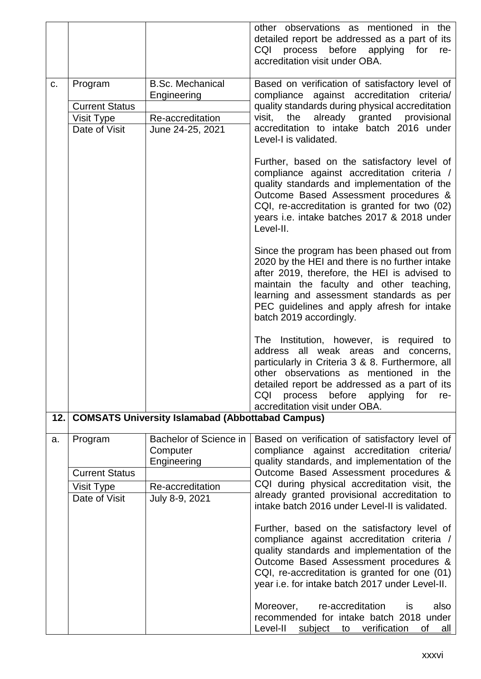|     |                                                                 |                                                                                | other observations as mentioned in the<br>detailed report be addressed as a part of its<br>process before applying for<br>CQI<br>re-<br>accreditation visit under OBA.                                                                                                                                                     |
|-----|-----------------------------------------------------------------|--------------------------------------------------------------------------------|----------------------------------------------------------------------------------------------------------------------------------------------------------------------------------------------------------------------------------------------------------------------------------------------------------------------------|
| C.  | Program<br><b>Current Status</b><br>Visit Type<br>Date of Visit | <b>B.Sc. Mechanical</b><br>Engineering<br>Re-accreditation<br>June 24-25, 2021 | Based on verification of satisfactory level of<br>compliance against accreditation criteria/<br>quality standards during physical accreditation<br>already granted provisional<br>visit,<br>the<br>accreditation to intake batch 2016 under<br>Level-I is validated.                                                       |
|     |                                                                 |                                                                                | Further, based on the satisfactory level of<br>compliance against accreditation criteria /<br>quality standards and implementation of the<br>Outcome Based Assessment procedures &<br>CQI, re-accreditation is granted for two (02)<br>years i.e. intake batches 2017 & 2018 under<br>Level-II.                            |
|     |                                                                 |                                                                                | Since the program has been phased out from<br>2020 by the HEI and there is no further intake<br>after 2019, therefore, the HEI is advised to<br>maintain the faculty and other teaching,<br>learning and assessment standards as per<br>PEC guidelines and apply afresh for intake<br>batch 2019 accordingly.              |
|     |                                                                 |                                                                                | The Institution, however, is required to<br>address all weak areas<br>and concerns,<br>particularly in Criteria 3 & 8. Furthermore, all<br>other observations as mentioned in the<br>detailed report be addressed as a part of its<br>before<br>CQI<br>process<br>applying<br>for<br>re-<br>accreditation visit under OBA. |
| 12. |                                                                 | <b>COMSATS University Islamabad (Abbottabad Campus)</b>                        |                                                                                                                                                                                                                                                                                                                            |
| a.  | Program                                                         | Bachelor of Science in<br>Computer<br>Engineering                              | Based on verification of satisfactory level of<br>compliance against accreditation criteria/<br>quality standards, and implementation of the                                                                                                                                                                               |
|     | <b>Current Status</b>                                           |                                                                                | Outcome Based Assessment procedures &                                                                                                                                                                                                                                                                                      |
|     | <b>Visit Type</b>                                               | Re-accreditation                                                               | CQI during physical accreditation visit, the<br>already granted provisional accreditation to                                                                                                                                                                                                                               |
|     | Date of Visit                                                   | July 8-9, 2021                                                                 | intake batch 2016 under Level-II is validated.                                                                                                                                                                                                                                                                             |
|     |                                                                 |                                                                                | Further, based on the satisfactory level of<br>compliance against accreditation criteria /<br>quality standards and implementation of the<br>Outcome Based Assessment procedures &<br>CQI, re-accreditation is granted for one (01)<br>year i.e. for intake batch 2017 under Level-II.                                     |
|     |                                                                 |                                                                                | re-accreditation<br>also<br>Moreover,<br>is<br>recommended for intake batch 2018 under<br>Level-II<br>verification<br>subject<br>to<br>of<br>all                                                                                                                                                                           |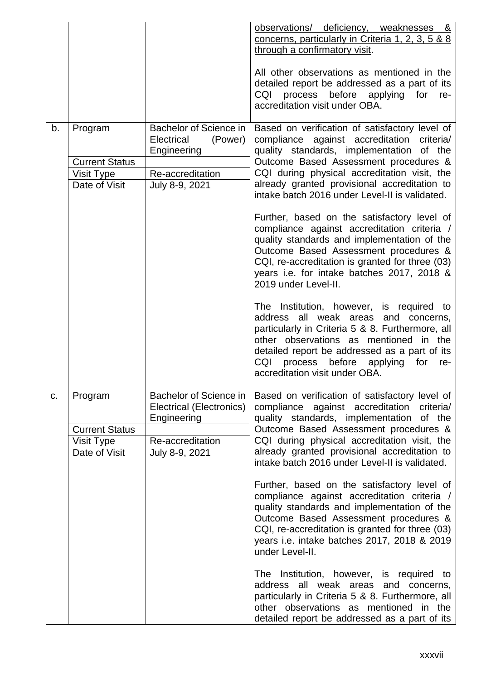|    |                                                                 |                                                                                                         | observations/ deficiency, weaknesses &<br>concerns, particularly in Criteria 1, 2, 3, 5 & 8<br>through a confirmatory visit.<br>All other observations as mentioned in the                                                                                                                                                             |
|----|-----------------------------------------------------------------|---------------------------------------------------------------------------------------------------------|----------------------------------------------------------------------------------------------------------------------------------------------------------------------------------------------------------------------------------------------------------------------------------------------------------------------------------------|
|    |                                                                 |                                                                                                         | detailed report be addressed as a part of its<br>CQI process before applying for<br>re-<br>accreditation visit under OBA.                                                                                                                                                                                                              |
| b. | Program<br><b>Current Status</b>                                | Bachelor of Science in<br>Electrical<br>(Power)<br>Engineering                                          | Based on verification of satisfactory level of<br>compliance against accreditation<br>criteria/<br>quality standards, implementation<br>of the<br>Outcome Based Assessment procedures &                                                                                                                                                |
|    | Visit Type<br>Date of Visit                                     | Re-accreditation<br>July 8-9, 2021                                                                      | CQI during physical accreditation visit, the<br>already granted provisional accreditation to<br>intake batch 2016 under Level-II is validated.                                                                                                                                                                                         |
|    |                                                                 |                                                                                                         | Further, based on the satisfactory level of<br>compliance against accreditation criteria /<br>quality standards and implementation of the<br>Outcome Based Assessment procedures &<br>CQI, re-accreditation is granted for three (03)<br>years i.e. for intake batches 2017, 2018 &<br>2019 under Level-II.                            |
|    |                                                                 |                                                                                                         | The Institution, however, is required to<br>address all weak areas and concerns,<br>particularly in Criteria 5 & 8. Furthermore, all<br>other observations as mentioned in the<br>detailed report be addressed as a part of its<br>CQI<br>process before<br>applying<br>for<br>re-<br>accreditation visit under OBA.                   |
| C. | Program<br><b>Current Status</b><br>Visit Type<br>Date of Visit | Bachelor of Science in<br>Electrical (Electronics)<br>Engineering<br>Re-accreditation<br>July 8-9, 2021 | Based on verification of satisfactory level of<br>compliance against accreditation<br>criteria/<br>quality standards, implementation of the<br>Outcome Based Assessment procedures &<br>CQI during physical accreditation visit, the<br>already granted provisional accreditation to<br>intake batch 2016 under Level-II is validated. |
|    |                                                                 |                                                                                                         | Further, based on the satisfactory level of<br>compliance against accreditation criteria /<br>quality standards and implementation of the<br>Outcome Based Assessment procedures &<br>CQI, re-accreditation is granted for three (03)<br>years i.e. intake batches 2017, 2018 & 2019<br>under Level-II.                                |
|    |                                                                 |                                                                                                         | The Institution, however, is required to<br>address all weak areas and concerns,<br>particularly in Criteria 5 & 8. Furthermore, all<br>other observations as mentioned in the<br>detailed report be addressed as a part of its                                                                                                        |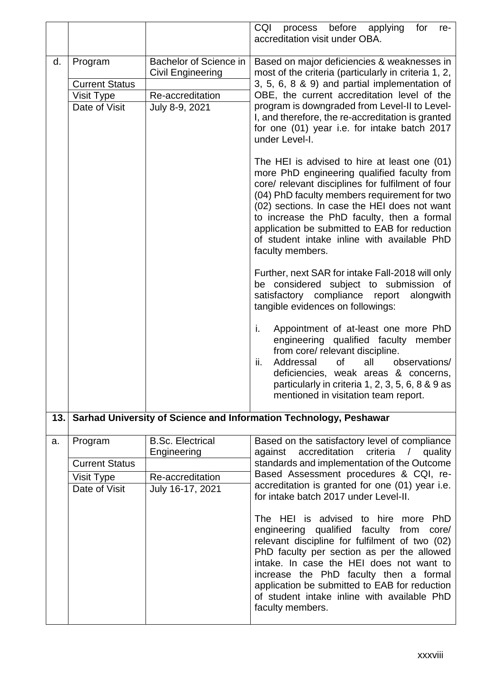|      |                                  |                                                           | CQI<br>process before applying<br>for<br>re-<br>accreditation visit under OBA.                                                                                                                                                                                                                                                                                                                                     |
|------|----------------------------------|-----------------------------------------------------------|--------------------------------------------------------------------------------------------------------------------------------------------------------------------------------------------------------------------------------------------------------------------------------------------------------------------------------------------------------------------------------------------------------------------|
| d.   | Program<br><b>Current Status</b> | <b>Bachelor of Science in</b><br><b>Civil Engineering</b> | Based on major deficiencies & weaknesses in<br>most of the criteria (particularly in criteria 1, 2,<br>3, 5, 6, 8 & 9) and partial implementation of                                                                                                                                                                                                                                                               |
|      | Visit Type                       | Re-accreditation                                          | OBE, the current accreditation level of the                                                                                                                                                                                                                                                                                                                                                                        |
|      | Date of Visit                    | July 8-9, 2021                                            | program is downgraded from Level-II to Level-<br>I, and therefore, the re-accreditation is granted<br>for one (01) year i.e. for intake batch 2017<br>under Level-I.                                                                                                                                                                                                                                               |
|      |                                  |                                                           | The HEI is advised to hire at least one (01)<br>more PhD engineering qualified faculty from<br>core/ relevant disciplines for fulfilment of four<br>(04) PhD faculty members requirement for two<br>(02) sections. In case the HEI does not want<br>to increase the PhD faculty, then a formal<br>application be submitted to EAB for reduction<br>of student intake inline with available PhD<br>faculty members. |
|      |                                  |                                                           | Further, next SAR for intake Fall-2018 will only<br>be considered subject to submission of<br>satisfactory compliance report<br>alongwith<br>tangible evidences on followings:                                                                                                                                                                                                                                     |
|      |                                  |                                                           | Appointment of at-least one more PhD<br>i.<br>engineering qualified faculty member<br>from core/ relevant discipline.<br>Addressal<br>ii.<br>0f<br>observations/<br>all<br>deficiencies, weak areas & concerns,<br>particularly in criteria 1, 2, 3, 5, 6, 8 & 9 as<br>mentioned in visitation team report.                                                                                                        |
| 13.1 |                                  |                                                           | Sarhad University of Science and Information Technology, Peshawar                                                                                                                                                                                                                                                                                                                                                  |
| a.   | Program                          | <b>B.Sc. Electrical</b><br>Engineering                    | Based on the satisfactory level of compliance<br>accreditation<br>criteria<br>against<br>$\sqrt{2}$<br>quality                                                                                                                                                                                                                                                                                                     |
|      | <b>Current Status</b>            |                                                           | standards and implementation of the Outcome<br>Based Assessment procedures & CQI, re-                                                                                                                                                                                                                                                                                                                              |
|      | Visit Type<br>Date of Visit      | Re-accreditation<br>July 16-17, 2021                      | accreditation is granted for one (01) year i.e.<br>for intake batch 2017 under Level-II.                                                                                                                                                                                                                                                                                                                           |
|      |                                  |                                                           | The HEI is advised to hire more<br>PhD<br>engineering qualified faculty<br>from<br>core/<br>relevant discipline for fulfilment of two (02)<br>PhD faculty per section as per the allowed<br>intake. In case the HEI does not want to<br>increase the PhD faculty then a formal<br>application be submitted to EAB for reduction<br>of student intake inline with available PhD<br>faculty members.                 |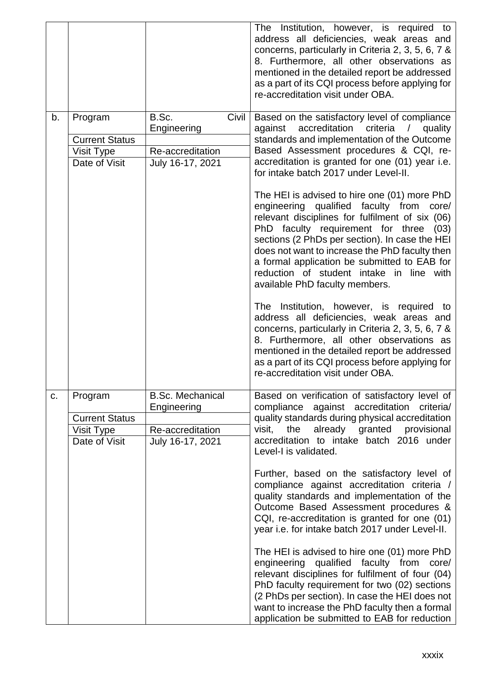|    |                       |                               | The Institution, however, is required to<br>address all deficiencies, weak areas and<br>concerns, particularly in Criteria 2, 3, 5, 6, 7 &<br>8. Furthermore, all other observations as<br>mentioned in the detailed report be addressed<br>as a part of its CQI process before applying for<br>re-accreditation visit under OBA.                                                                                          |
|----|-----------------------|-------------------------------|----------------------------------------------------------------------------------------------------------------------------------------------------------------------------------------------------------------------------------------------------------------------------------------------------------------------------------------------------------------------------------------------------------------------------|
| b. | Program               | B.Sc.<br>Civil<br>Engineering | Based on the satisfactory level of compliance<br>accreditation<br>criteria /<br>against<br>quality                                                                                                                                                                                                                                                                                                                         |
|    | <b>Current Status</b> |                               | standards and implementation of the Outcome                                                                                                                                                                                                                                                                                                                                                                                |
|    | Visit Type            | Re-accreditation              | Based Assessment procedures & CQI, re-                                                                                                                                                                                                                                                                                                                                                                                     |
|    | Date of Visit         | July 16-17, 2021              | accreditation is granted for one (01) year i.e.<br>for intake batch 2017 under Level-II.                                                                                                                                                                                                                                                                                                                                   |
|    |                       |                               | The HEI is advised to hire one (01) more PhD<br>engineering qualified faculty from<br>core/<br>relevant disciplines for fulfilment of six (06)<br>PhD faculty requirement for three (03)<br>sections (2 PhDs per section). In case the HEI<br>does not want to increase the PhD faculty then<br>a formal application be submitted to EAB for<br>reduction of student intake in line with<br>available PhD faculty members. |
|    |                       |                               | The Institution, however, is required to<br>address all deficiencies, weak areas and<br>concerns, particularly in Criteria 2, 3, 5, 6, 7 &<br>8. Furthermore, all other observations as<br>mentioned in the detailed report be addressed<br>as a part of its CQI process before applying for<br>re-accreditation visit under OBA.                                                                                          |
| C. | Program               | <b>B.Sc. Mechanical</b>       | Based on verification of satisfactory level of                                                                                                                                                                                                                                                                                                                                                                             |
|    |                       | Engineering                   | compliance against accreditation<br>criteria/                                                                                                                                                                                                                                                                                                                                                                              |
|    | <b>Current Status</b> |                               | quality standards during physical accreditation                                                                                                                                                                                                                                                                                                                                                                            |
|    | Visit Type            | Re-accreditation              | already granted provisional<br>visit.<br>the                                                                                                                                                                                                                                                                                                                                                                               |
|    | Date of Visit         | July 16-17, 2021              | accreditation to intake batch 2016 under<br>Level-I is validated.                                                                                                                                                                                                                                                                                                                                                          |
|    |                       |                               | Further, based on the satisfactory level of<br>compliance against accreditation criteria /<br>quality standards and implementation of the<br>Outcome Based Assessment procedures &<br>CQI, re-accreditation is granted for one (01)<br>year i.e. for intake batch 2017 under Level-II.                                                                                                                                     |
|    |                       |                               | The HEI is advised to hire one (01) more PhD<br>engineering qualified faculty from core/<br>relevant disciplines for fulfilment of four (04)<br>PhD faculty requirement for two (02) sections<br>(2 PhDs per section). In case the HEI does not<br>want to increase the PhD faculty then a formal<br>application be submitted to EAB for reduction                                                                         |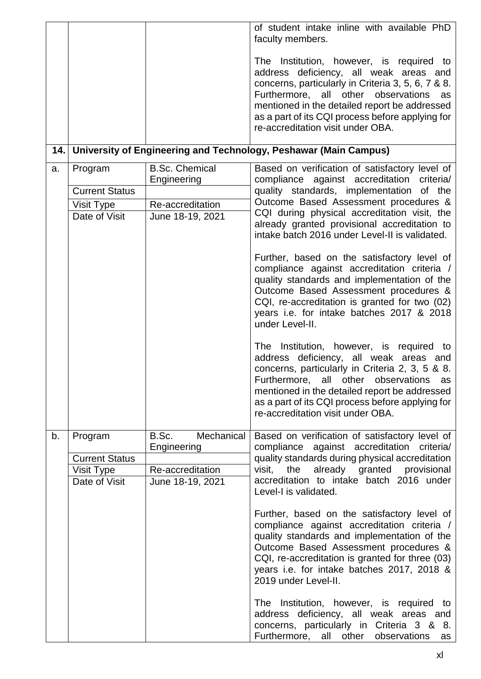|     |                                  |                                      | of student intake inline with available PhD<br>faculty members.                                                                                                                                                                                                                                                                 |
|-----|----------------------------------|--------------------------------------|---------------------------------------------------------------------------------------------------------------------------------------------------------------------------------------------------------------------------------------------------------------------------------------------------------------------------------|
|     |                                  |                                      | The Institution, however, is required to<br>address deficiency, all weak areas and<br>concerns, particularly in Criteria 3, 5, 6, 7 & 8.<br>Furthermore, all other observations<br>as<br>mentioned in the detailed report be addressed<br>as a part of its CQI process before applying for<br>re-accreditation visit under OBA. |
| 14. |                                  |                                      | University of Engineering and Technology, Peshawar (Main Campus)                                                                                                                                                                                                                                                                |
| a.  | Program<br><b>Current Status</b> | <b>B.Sc. Chemical</b><br>Engineering | Based on verification of satisfactory level of<br>compliance against accreditation criteria/<br>quality standards, implementation of the                                                                                                                                                                                        |
|     | Visit Type<br>Date of Visit      | Re-accreditation<br>June 18-19, 2021 | Outcome Based Assessment procedures &<br>CQI during physical accreditation visit, the<br>already granted provisional accreditation to<br>intake batch 2016 under Level-II is validated.                                                                                                                                         |
|     |                                  |                                      | Further, based on the satisfactory level of<br>compliance against accreditation criteria /<br>quality standards and implementation of the<br>Outcome Based Assessment procedures &<br>CQI, re-accreditation is granted for two (02)<br>years i.e. for intake batches 2017 & 2018<br>under Level-II.                             |
|     |                                  |                                      | The Institution, however, is required to<br>address deficiency, all weak areas and<br>concerns, particularly in Criteria 2, 3, 5 & 8.<br>Furthermore, all other observations as<br>mentioned in the detailed report be addressed<br>as a part of its CQI process before applying for<br>re-accreditation visit under OBA.       |
| b.  | Program<br><b>Current Status</b> | B.Sc.<br>Mechanical<br>Engineering   | Based on verification of satisfactory level of<br>compliance against accreditation criteria/<br>quality standards during physical accreditation                                                                                                                                                                                 |
|     | Visit Type<br>Date of Visit      | Re-accreditation<br>June 18-19, 2021 | already granted provisional<br>visit, the<br>accreditation to intake batch 2016 under<br>Level-I is validated.                                                                                                                                                                                                                  |
|     |                                  |                                      | Further, based on the satisfactory level of<br>compliance against accreditation criteria /<br>quality standards and implementation of the<br>Outcome Based Assessment procedures &<br>CQI, re-accreditation is granted for three (03)<br>years i.e. for intake batches 2017, 2018 &<br>2019 under Level-II.                     |
|     |                                  |                                      | The Institution, however, is required to<br>address deficiency, all weak areas and<br>concerns, particularly in Criteria 3 & 8.<br>Furthermore, all other observations<br>as                                                                                                                                                    |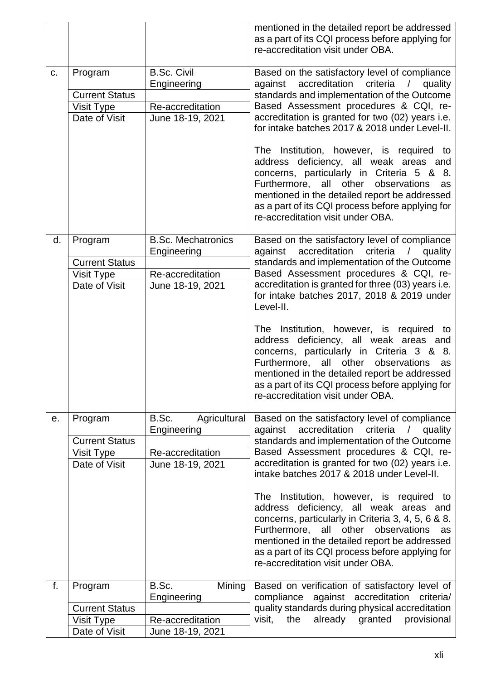|    |                                                                 |                                                                                  | mentioned in the detailed report be addressed<br>as a part of its CQI process before applying for<br>re-accreditation visit under OBA.                                                                                                                                                                                                                                                                                                                                                                                                                                                                                                          |
|----|-----------------------------------------------------------------|----------------------------------------------------------------------------------|-------------------------------------------------------------------------------------------------------------------------------------------------------------------------------------------------------------------------------------------------------------------------------------------------------------------------------------------------------------------------------------------------------------------------------------------------------------------------------------------------------------------------------------------------------------------------------------------------------------------------------------------------|
| C. | Program<br><b>Current Status</b><br>Visit Type<br>Date of Visit | <b>B.Sc. Civil</b><br>Engineering<br>Re-accreditation<br>June 18-19, 2021        | Based on the satisfactory level of compliance<br>against accreditation criteria / quality<br>standards and implementation of the Outcome<br>Based Assessment procedures & CQI, re-<br>accreditation is granted for two (02) years i.e.<br>for intake batches 2017 & 2018 under Level-II.<br>The Institution, however, is required to<br>address deficiency, all weak areas and<br>concerns, particularly in Criteria 5 & 8.<br>Furthermore, all other observations<br>as<br>mentioned in the detailed report be addressed<br>as a part of its CQI process before applying for<br>re-accreditation visit under OBA.                              |
| d. | Program<br><b>Current Status</b><br>Visit Type<br>Date of Visit | <b>B.Sc. Mechatronics</b><br>Engineering<br>Re-accreditation<br>June 18-19, 2021 | Based on the satisfactory level of compliance<br>against accreditation criteria / quality<br>standards and implementation of the Outcome<br>Based Assessment procedures & CQI, re-<br>accreditation is granted for three (03) years i.e.<br>for intake batches 2017, 2018 & 2019 under<br>Level-II.<br>The Institution, however, is required to<br>address deficiency, all weak areas and<br>concerns, particularly in Criteria 3 & 8.<br>Furthermore, all other observations<br>as<br>mentioned in the detailed report be addressed<br>as a part of its CQI process before applying for<br>re-accreditation visit under OBA.                   |
| е. | Program<br><b>Current Status</b><br>Visit Type<br>Date of Visit | B.Sc.<br>Agricultural<br>Engineering<br>Re-accreditation<br>June 18-19, 2021     | Based on the satisfactory level of compliance<br>accreditation<br>criteria<br>against<br>$\sqrt{2}$<br>quality<br>standards and implementation of the Outcome<br>Based Assessment procedures & CQI, re-<br>accreditation is granted for two (02) years i.e.<br>intake batches 2017 & 2018 under Level-II.<br>The Institution, however, is required to<br>address deficiency, all weak areas and<br>concerns, particularly in Criteria 3, 4, 5, 6 & 8.<br>Furthermore, all other<br>observations<br>as<br>mentioned in the detailed report be addressed<br>as a part of its CQI process before applying for<br>re-accreditation visit under OBA. |
| f. | Program<br><b>Current Status</b><br>Visit Type<br>Date of Visit | B.Sc.<br>Mining<br>Engineering<br>Re-accreditation<br>June 18-19, 2021           | Based on verification of satisfactory level of<br>compliance<br>against accreditation<br>criteria/<br>quality standards during physical accreditation<br>visit,<br>already granted<br>provisional<br>the                                                                                                                                                                                                                                                                                                                                                                                                                                        |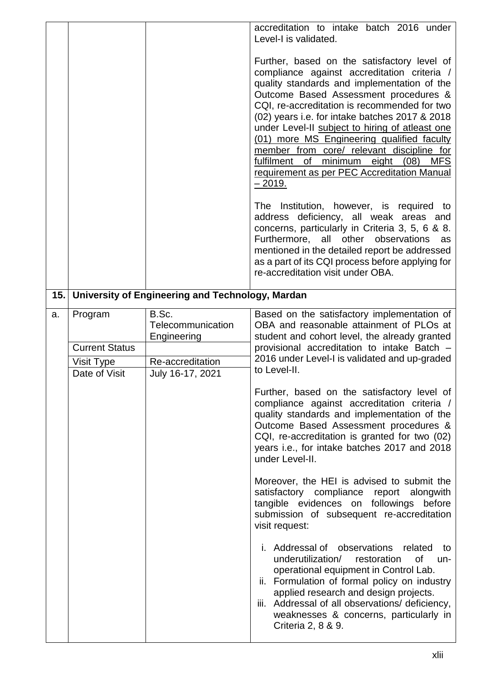|     |                                                |                                                               | accreditation to intake batch 2016 under<br>Level-I is validated.                                                                                                                                                                                                                                                                                                                                                                                                                                                                               |
|-----|------------------------------------------------|---------------------------------------------------------------|-------------------------------------------------------------------------------------------------------------------------------------------------------------------------------------------------------------------------------------------------------------------------------------------------------------------------------------------------------------------------------------------------------------------------------------------------------------------------------------------------------------------------------------------------|
|     |                                                |                                                               | Further, based on the satisfactory level of<br>compliance against accreditation criteria /<br>quality standards and implementation of the<br>Outcome Based Assessment procedures &<br>CQI, re-accreditation is recommended for two<br>(02) years i.e. for intake batches 2017 & 2018<br>under Level-II subject to hiring of atleast one<br>(01) more MS Engineering qualified faculty<br>member from core/ relevant discipline for<br>fulfilment of minimum eight (08)<br><b>MFS</b><br>requirement as per PEC Accreditation Manual<br>$-2019.$ |
|     |                                                |                                                               | The Institution, however, is required to<br>address deficiency, all weak areas and<br>concerns, particularly in Criteria 3, 5, 6 & 8.<br>Furthermore, all other observations<br>as<br>mentioned in the detailed report be addressed<br>as a part of its CQI process before applying for<br>re-accreditation visit under OBA.                                                                                                                                                                                                                    |
| 15. |                                                | University of Engineering and Technology, Mardan              |                                                                                                                                                                                                                                                                                                                                                                                                                                                                                                                                                 |
| a.  | Program<br><b>Current Status</b><br>Visit Type | B.Sc.<br>Telecommunication<br>Engineering<br>Re-accreditation | Based on the satisfactory implementation of<br>OBA and reasonable attainment of PLOs at<br>student and cohort level, the already granted<br>provisional accreditation to intake Batch -<br>2016 under Level-I is validated and up-graded                                                                                                                                                                                                                                                                                                        |
|     | Date of Visit                                  | July 16-17, 2021                                              | to Level-II.<br>Further, based on the satisfactory level of<br>compliance against accreditation criteria /<br>quality standards and implementation of the<br>Outcome Based Assessment procedures &<br>CQI, re-accreditation is granted for two (02)<br>years i.e., for intake batches 2017 and 2018<br>under Level-II.<br>Moreover, the HEI is advised to submit the<br>satisfactory compliance report alongwith<br>tangible evidences on followings before<br>submission of subsequent re-accreditation<br>visit request:                      |
|     |                                                |                                                               | i. Addressal of observations<br>related<br>to<br>underutilization/<br>restoration<br>0f<br>un-<br>operational equipment in Control Lab.<br>ii. Formulation of formal policy on industry<br>applied research and design projects.<br>iii. Addressal of all observations/ deficiency,<br>weaknesses & concerns, particularly in<br>Criteria 2, 8 & 9.                                                                                                                                                                                             |